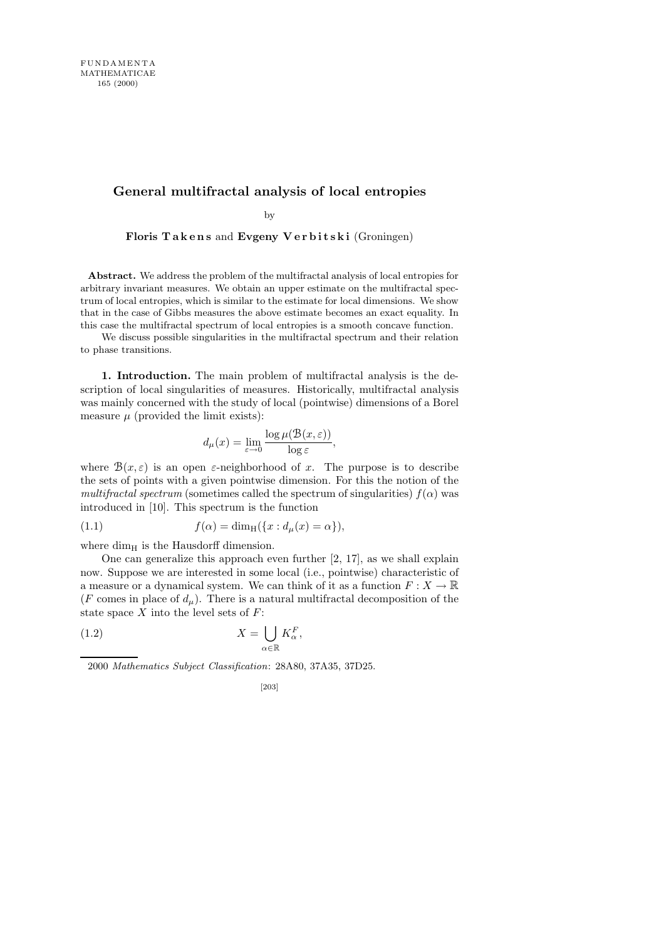## **General multifractal analysis of local entropies**

by

Floris Takens and Evgeny Verbitski (Groningen)

Abstract. We address the problem of the multifractal analysis of local entropies for arbitrary invariant measures. We obtain an upper estimate on the multifractal spectrum of local entropies, which is similar to the estimate for local dimensions. We show that in the case of Gibbs measures the above estimate becomes an exact equality. In this case the multifractal spectrum of local entropies is a smooth concave function.

We discuss possible singularities in the multifractal spectrum and their relation to phase transitions.

1. Introduction. The main problem of multifractal analysis is the description of local singularities of measures. Historically, multifractal analysis was mainly concerned with the study of local (pointwise) dimensions of a Borel measure  $\mu$  (provided the limit exists):

$$
d_\mu(x)=\lim_{\varepsilon\to 0}\frac{\log\mu(\mathcal{B}(x,\varepsilon))}{\log\varepsilon}
$$

,

where  $B(x, \varepsilon)$  is an open  $\varepsilon$ -neighborhood of x. The purpose is to describe the sets of points with a given pointwise dimension. For this the notion of the multifractal spectrum (sometimes called the spectrum of singularities)  $f(\alpha)$  was introduced in [10]. This spectrum is the function

(1.1) 
$$
f(\alpha) = \dim_{\mathrm{H}}(\{x : d_{\mu}(x) = \alpha\}),
$$

where  $\dim_H$  is the Hausdorff dimension.

One can generalize this approach even further [2, 17], as we shall explain now. Suppose we are interested in some local (i.e., pointwise) characteristic of a measure or a dynamical system. We can think of it as a function  $F: X \to \mathbb{R}$ (F comes in place of  $d_{\mu}$ ). There is a natural multifractal decomposition of the state space  $X$  into the level sets of  $F$ :

(1.2) 
$$
X = \bigcup_{\alpha \in \mathbb{R}} K_{\alpha}^{F},
$$

2000 *Mathematics Subject Classification*: 28A80, 37A35, 37D25.

$$
[203]
$$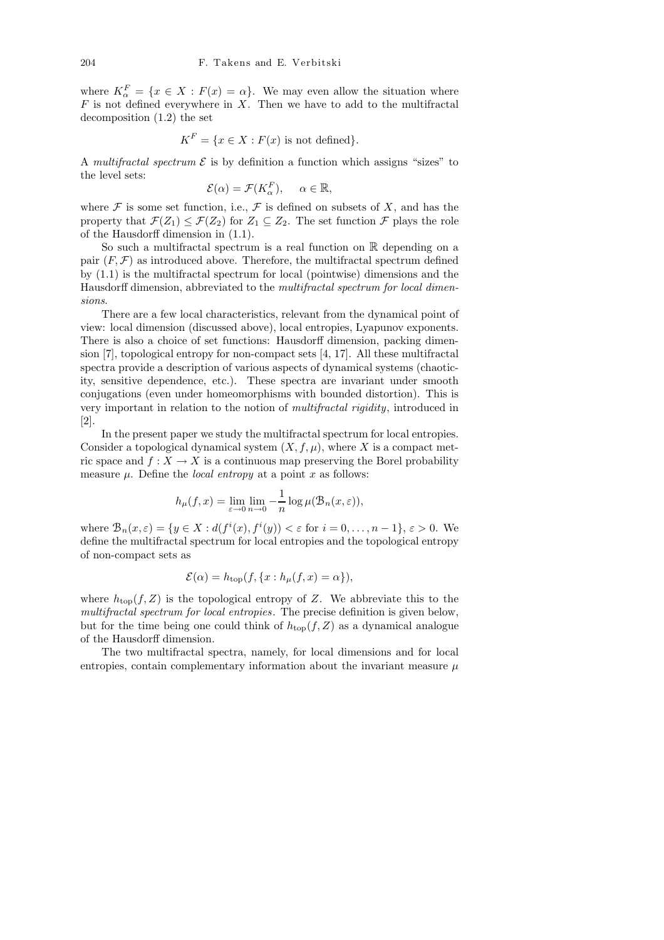where  $K_{\alpha}^{F} = \{x \in X : F(x) = \alpha\}$ . We may even allow the situation where  $F$  is not defined everywhere in  $X$ . Then we have to add to the multifractal decomposition (1.2) the set

$$
K^F = \{ x \in X : F(x) \text{ is not defined} \}.
$$

A multifractal spectrum  $\mathcal E$  is by definition a function which assigns "sizes" to the level sets:

$$
\mathcal{E}(\alpha) = \mathcal{F}(K_{\alpha}^{F}), \quad \alpha \in \mathbb{R},
$$

where  $\mathcal F$  is some set function, i.e.,  $\mathcal F$  is defined on subsets of X, and has the property that  $\mathcal{F}(Z_1) \leq \mathcal{F}(Z_2)$  for  $Z_1 \subseteq Z_2$ . The set function  $\mathcal{F}$  plays the role of the Hausdorff dimension in (1.1).

So such a multifractal spectrum is a real function on R depending on a pair  $(F, \mathcal{F})$  as introduced above. Therefore, the multifractal spectrum defined by (1.1) is the multifractal spectrum for local (pointwise) dimensions and the Hausdorff dimension, abbreviated to the multifractal spectrum for local dimensions.

There are a few local characteristics, relevant from the dynamical point of view: local dimension (discussed above), local entropies, Lyapunov exponents. There is also a choice of set functions: Hausdorff dimension, packing dimension [7], topological entropy for non-compact sets [4, 17]. All these multifractal spectra provide a description of various aspects of dynamical systems (chaoticity, sensitive dependence, etc.). These spectra are invariant under smooth conjugations (even under homeomorphisms with bounded distortion). This is very important in relation to the notion of multifractal rigidity, introduced in [2].

In the present paper we study the multifractal spectrum for local entropies. Consider a topological dynamical system  $(X, f, \mu)$ , where X is a compact metric space and  $f: X \to X$  is a continuous map preserving the Borel probability measure  $\mu$ . Define the *local entropy* at a point x as follows:

$$
h_{\mu}(f,x) = \lim_{\varepsilon \to 0} \lim_{n \to 0} -\frac{1}{n} \log \mu(\mathcal{B}_n(x,\varepsilon)),
$$

where  $\mathcal{B}_n(x,\varepsilon) = \{y \in X : d(f^i(x), f^i(y)) < \varepsilon \text{ for } i = 0,\ldots,n-1\}, \varepsilon > 0.$  We define the multifractal spectrum for local entropies and the topological entropy of non-compact sets as

$$
\mathcal{E}(\alpha) = h_{\text{top}}(f, \{x : h_{\mu}(f, x) = \alpha\}),
$$

where  $h_{\text{top}}(f, Z)$  is the topological entropy of Z. We abbreviate this to the multifractal spectrum for local entropies. The precise definition is given below, but for the time being one could think of  $h_{top}(f, Z)$  as a dynamical analogue of the Hausdorff dimension.

The two multifractal spectra, namely, for local dimensions and for local entropies, contain complementary information about the invariant measure  $\mu$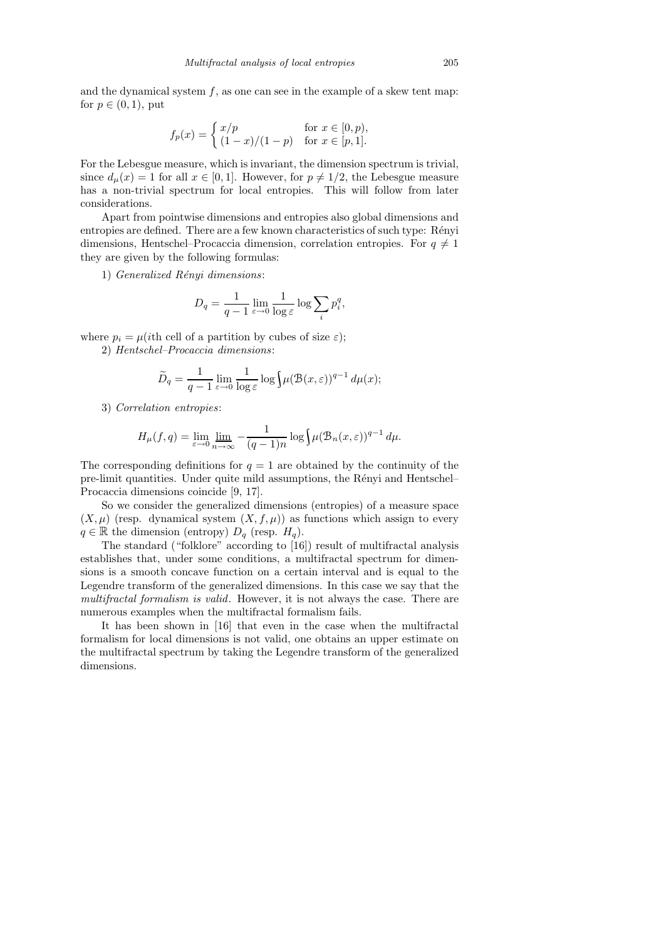and the dynamical system  $f$ , as one can see in the example of a skew tent map: for  $p \in (0,1)$ , put

$$
f_p(x) = \begin{cases} x/p & \text{for } x \in [0, p), \\ (1-x)/(1-p) & \text{for } x \in [p, 1]. \end{cases}
$$

For the Lebesgue measure, which is invariant, the dimension spectrum is trivial, since  $d_u(x) = 1$  for all  $x \in [0, 1]$ . However, for  $p \neq 1/2$ , the Lebesgue measure has a non-trivial spectrum for local entropies. This will follow from later considerations.

Apart from pointwise dimensions and entropies also global dimensions and entropies are defined. There are a few known characteristics of such type: Rényi dimensions, Hentschel–Procaccia dimension, correlation entropies. For  $q \neq 1$ they are given by the following formulas:

1) Generalized Rényi dimensions:

$$
D_q = \frac{1}{q-1} \lim_{\varepsilon \to 0} \frac{1}{\log \varepsilon} \log \sum_i p_i^q,
$$

where  $p_i = \mu(i$ th cell of a partition by cubes of size  $\varepsilon$ );

2) Hentschel–Procaccia dimensions:

$$
\widetilde{D}_q = \frac{1}{q-1} \lim_{\varepsilon \to 0} \frac{1}{\log \varepsilon} \log \left( \mu(\mathcal{B}(x,\varepsilon))^{q-1} d\mu(x) \right)
$$

3) Correlation entropies:

$$
H_{\mu}(f,q) = \lim_{\varepsilon \to 0} \lim_{n \to \infty} -\frac{1}{(q-1)n} \log \int \mu(\mathcal{B}_n(x,\varepsilon))^{q-1} d\mu.
$$

The corresponding definitions for  $q = 1$  are obtained by the continuity of the pre-limit quantities. Under quite mild assumptions, the R´enyi and Hentschel– Procaccia dimensions coincide [9, 17].

So we consider the generalized dimensions (entropies) of a measure space  $(X, \mu)$  (resp. dynamical system  $(X, f, \mu)$ ) as functions which assign to every  $q \in \mathbb{R}$  the dimension (entropy)  $D_q$  (resp.  $H_q$ ).

The standard ("folklore" according to [16]) result of multifractal analysis establishes that, under some conditions, a multifractal spectrum for dimensions is a smooth concave function on a certain interval and is equal to the Legendre transform of the generalized dimensions. In this case we say that the multifractal formalism is valid. However, it is not always the case. There are numerous examples when the multifractal formalism fails.

It has been shown in [16] that even in the case when the multifractal formalism for local dimensions is not valid, one obtains an upper estimate on the multifractal spectrum by taking the Legendre transform of the generalized dimensions.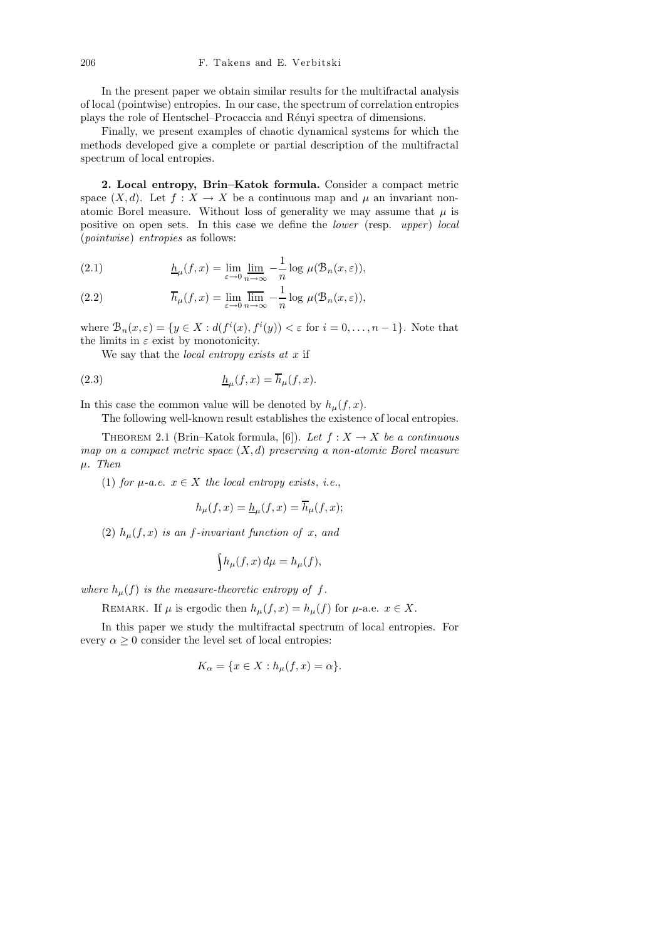In the present paper we obtain similar results for the multifractal analysis of local (pointwise) entropies. In our case, the spectrum of correlation entropies plays the role of Hentschel–Procaccia and Rényi spectra of dimensions.

Finally, we present examples of chaotic dynamical systems for which the methods developed give a complete or partial description of the multifractal spectrum of local entropies.

2. Local entropy, Brin–Katok formula. Consider a compact metric space  $(X, d)$ . Let  $f : X \to X$  be a continuous map and  $\mu$  an invariant nonatomic Borel measure. Without loss of generality we may assume that  $\mu$  is positive on open sets. In this case we define the *lower* (resp. upper) local (pointwise) entropies as follows:

(2.1) 
$$
\underline{h}_{\mu}(f,x) = \lim_{\varepsilon \to 0} \lim_{n \to \infty} -\frac{1}{n} \log \mu(\mathcal{B}_n(x,\varepsilon)),
$$

(2.2) 
$$
\overline{h}_{\mu}(f,x) = \lim_{\varepsilon \to 0} \overline{\lim}_{n \to \infty} -\frac{1}{n} \log \mu(\mathcal{B}_n(x,\varepsilon)),
$$

where  $\mathcal{B}_n(x,\varepsilon) = \{y \in X : d(f^i(x), f^i(y)) < \varepsilon \text{ for } i = 0,\ldots, n-1\}.$  Note that the limits in  $\varepsilon$  exist by monotonicity.

We say that the *local entropy exists at x* if

(2.3) 
$$
\underline{h}_{\mu}(f,x) = \overline{h}_{\mu}(f,x).
$$

In this case the common value will be denoted by  $h_{\mu}(f, x)$ .

The following well-known result establishes the existence of local entropies.

THEOREM 2.1 (Brin–Katok formula, [6]). Let  $f: X \to X$  be a continuous map on a compact metric space  $(X, d)$  preserving a non-atomic Borel measure  $\mu$ . Then

(1) for  $\mu$ -a.e.  $x \in X$  the local entropy exists, i.e.,

$$
h_{\mu}(f,x) = \underline{h}_{\mu}(f,x) = \overline{h}_{\mu}(f,x);
$$

(2)  $h_{\mu}(f, x)$  is an f-invariant function of x, and

$$
\int h_{\mu}(f,x) d\mu = h_{\mu}(f),
$$

where  $h_{\mu}(f)$  is the measure-theoretic entropy of f.

REMARK. If  $\mu$  is ergodic then  $h_{\mu}(f, x) = h_{\mu}(f)$  for  $\mu$ -a.e.  $x \in X$ .

In this paper we study the multifractal spectrum of local entropies. For every  $\alpha \geq 0$  consider the level set of local entropies:

$$
K_{\alpha} = \{ x \in X : h_{\mu}(f, x) = \alpha \}.
$$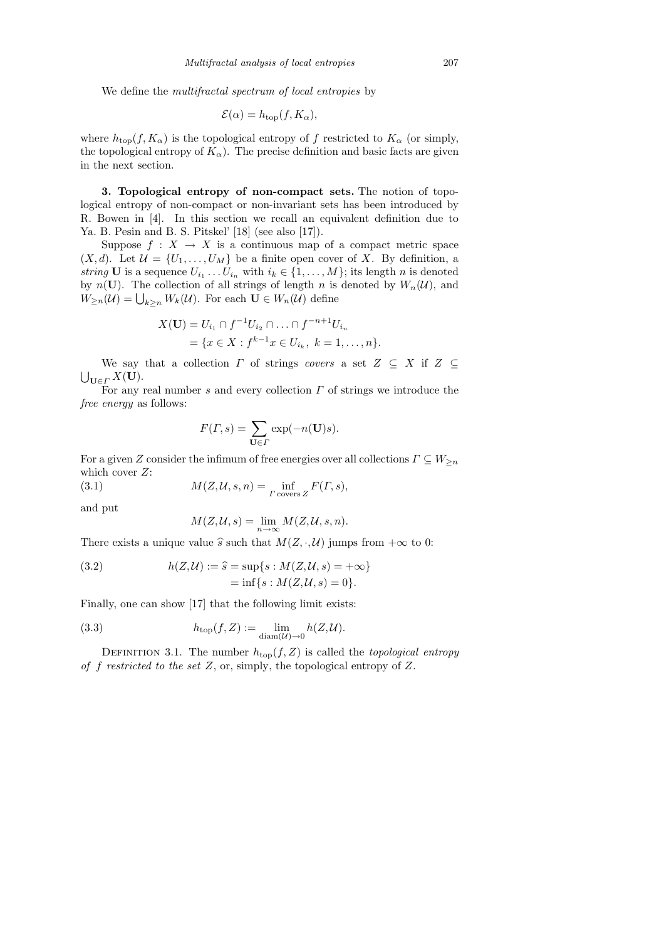We define the *multifractal spectrum of local entropies* by

$$
\mathcal{E}(\alpha) = h_{\text{top}}(f, K_{\alpha}),
$$

where  $h_{\text{top}}(f, K_{\alpha})$  is the topological entropy of f restricted to  $K_{\alpha}$  (or simply, the topological entropy of  $K_{\alpha}$ ). The precise definition and basic facts are given in the next section.

3. Topological entropy of non-compact sets. The notion of topological entropy of non-compact or non-invariant sets has been introduced by R. Bowen in [4]. In this section we recall an equivalent definition due to Ya. B. Pesin and B. S. Pitskel' [18] (see also [17]).

Suppose  $f: X \to X$  is a continuous map of a compact metric space  $(X, d)$ . Let  $\mathcal{U} = \{U_1, \ldots, U_M\}$  be a finite open cover of X. By definition, a string **U** is a sequence  $U_{i_1} \ldots U_{i_n}$  with  $i_k \in \{1, \ldots, M\}$ ; its length *n* is denoted by  $n(\mathbf{U})$ . The collection of all strings of length n is denoted by  $W_n(\mathcal{U})$ , and  $W_{\geq n}(\mathcal{U}) = \bigcup_{k \geq n} W_k(\mathcal{U})$ . For each  $\mathbf{U} \in W_n(\mathcal{U})$  define

$$
X(\mathbf{U}) = U_{i_1} \cap f^{-1} U_{i_2} \cap \ldots \cap f^{-n+1} U_{i_n}
$$
  
=  $\{x \in X : f^{k-1} x \in U_{i_k}, k = 1, \ldots, n\}.$ 

We say that a collection  $\Gamma$  of strings covers a set  $Z \subseteq X$  if  $Z \subseteq$  $\bigcup_{\mathbf{U}\in\varGamma}X(\mathbf{U}).$ 

For any real number s and every collection  $\Gamma$  of strings we introduce the free energy as follows:

$$
F(\Gamma, s) = \sum_{\mathbf{U} \in \Gamma} \exp(-n(\mathbf{U})s).
$$

For a given Z consider the infimum of free energies over all collections  $\Gamma \subseteq W_{\geq n}$ which cover  $Z$ :

(3.1) 
$$
M(Z, \mathcal{U}, s, n) = \inf_{\Gamma \text{ covers } Z} F(\Gamma, s),
$$

and put

$$
M(Z, \mathcal{U}, s) = \lim_{n \to \infty} M(Z, \mathcal{U}, s, n).
$$

There exists a unique value  $\hat{s}$  such that  $M(Z, \cdot, \mathcal{U})$  jumps from  $+\infty$  to 0:

(3.2) 
$$
h(Z, U) := \hat{s} = \sup\{s : M(Z, U, s) = +\infty\} \\
= \inf\{s : M(Z, U, s) = 0\}.
$$

Finally, one can show [17] that the following limit exists:

(3.3) 
$$
h_{\text{top}}(f, Z) := \lim_{\text{diam}(\mathcal{U}) \to 0} h(Z, \mathcal{U}).
$$

DEFINITION 3.1. The number  $h_{\text{top}}(f, Z)$  is called the topological entropy of f restricted to the set  $Z$ , or, simply, the topological entropy of  $Z$ .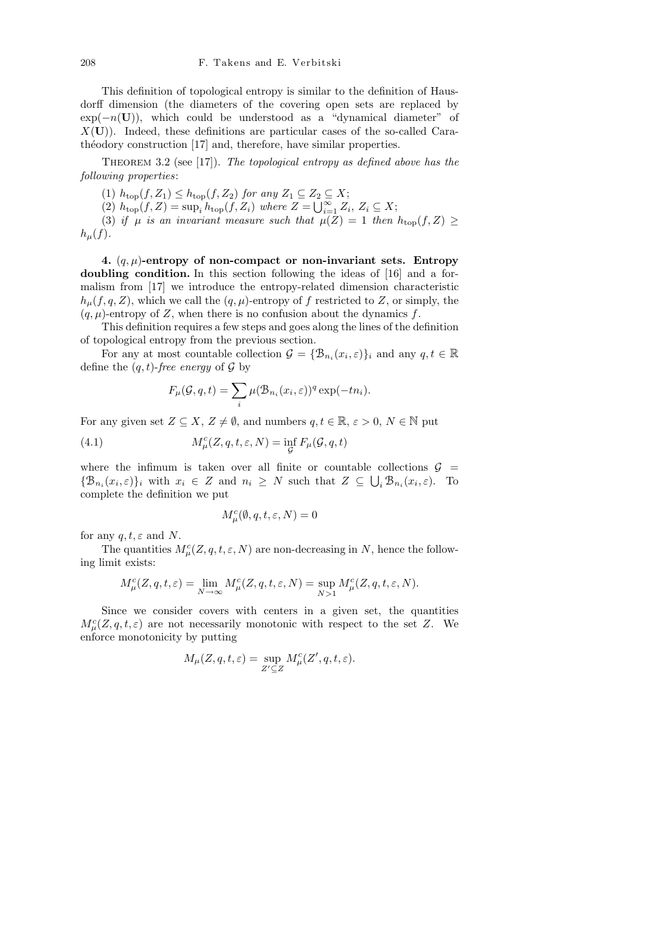This definition of topological entropy is similar to the definition of Hausdorff dimension (the diameters of the covering open sets are replaced by  $exp(-n(U))$ , which could be understood as a "dynamical diameter" of  $X(U)$ ). Indeed, these definitions are particular cases of the so-called Carathéodory construction [17] and, therefore, have similar properties.

THEOREM 3.2 (see [17]). The topological entropy as defined above has the following properties:

(1)  $h_{\text{top}}(f, Z_1) \leq h_{\text{top}}(f, Z_2)$  for any  $Z_1 \subseteq Z_2 \subseteq X$ ; (2)  $h_{\text{top}}(f, Z) = \sup_i h_{\text{top}}(f, Z_i)$  where  $Z = \bigcup_{i=1}^{\infty} Z_i, Z_i \subseteq X;$ 

(3) if  $\mu$  is an invariant measure such that  $\mu(Z) = 1$  then  $h_{\text{top}}(f, Z)$  $h_\mu(f)$ .

4.  $(q, \mu)$ -entropy of non-compact or non-invariant sets. Entropy doubling condition. In this section following the ideas of [16] and a formalism from [17] we introduce the entropy-related dimension characteristic  $h<sub>\mu</sub>(f, q, Z)$ , which we call the  $(q, \mu)$ -entropy of f restricted to Z, or simply, the  $(q, \mu)$ -entropy of Z, when there is no confusion about the dynamics f.

This definition requires a few steps and goes along the lines of the definition of topological entropy from the previous section.

For any at most countable collection  $\mathcal{G} = \{ \mathcal{B}_{n_i}(x_i, \varepsilon) \}_i$  and any  $q, t \in \mathbb{R}$ define the  $(q, t)$ -free energy of  $\mathcal G$  by

$$
F_{\mu}(\mathcal{G},q,t) = \sum_{i} \mu(\mathcal{B}_{n_i}(x_i,\varepsilon))^q \exp(-tn_i).
$$

For any given set  $Z \subseteq X$ ,  $Z \neq \emptyset$ , and numbers  $q, t \in \mathbb{R}$ ,  $\varepsilon > 0$ ,  $N \in \mathbb{N}$  put

(4.1) 
$$
M_{\mu}^{c}(Z, q, t, \varepsilon, N) = \inf_{\mathcal{G}} F_{\mu}(\mathcal{G}, q, t)
$$

where the infimum is taken over all finite or countable collections  $\mathcal{G}$  =  $\{\mathcal{B}_{n_i}(x_i,\varepsilon)\}\$ i with  $x_i \in Z$  and  $n_i \geq N$  such that  $Z \subseteq \bigcup_i \mathcal{B}_{n_i}(x_i,\varepsilon)$ . To complete the definition we put

$$
M^c_\mu(\emptyset,q,t,\varepsilon,N)=0
$$

for any  $q, t, \varepsilon$  and N.

The quantities  $M^c_\mu(Z, q, t, \varepsilon, N)$  are non-decreasing in N, hence the following limit exists:

$$
M^c_\mu(Z,q,t,\varepsilon)=\lim_{N\to\infty}M^c_\mu(Z,q,t,\varepsilon,N)=\sup_{N>1}M^c_\mu(Z,q,t,\varepsilon,N).
$$

Since we consider covers with centers in a given set, the quantities  $M_{\mu}^{c}(Z, q, t, \varepsilon)$  are not necessarily monotonic with respect to the set Z. We enforce monotonicity by putting

$$
M_{\mu}(Z,q,t,\varepsilon) = \sup_{Z' \subseteq Z} M_{\mu}^c(Z',q,t,\varepsilon).
$$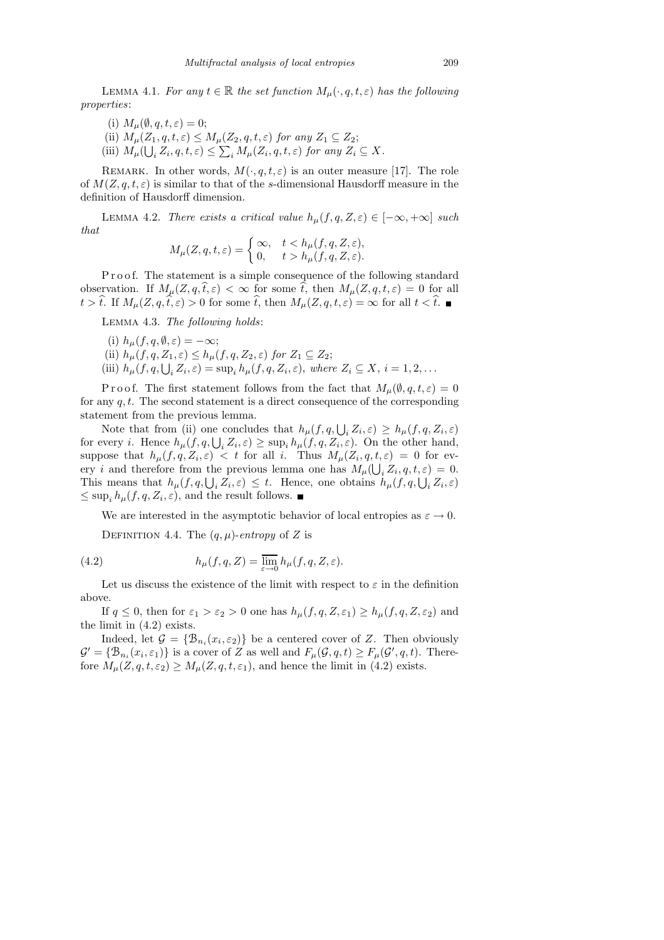LEMMA 4.1. For any  $t \in \mathbb{R}$  the set function  $M_{\mu}(\cdot, q, t, \varepsilon)$  has the following properties:

- (i)  $M_{\mu}(\emptyset, q, t, \varepsilon) = 0;$
- (ii)  $M_{\mu}(Z_1, q, t, \varepsilon) \leq M_{\mu}(Z_2, q, t, \varepsilon)$  for any  $Z_1 \subseteq Z_2$ ;
- (iii)  $M_\mu(\bigcup_i Z_i, q, t, \varepsilon) \leq \sum_i M_\mu(Z_i, q, t, \varepsilon)$  for any  $Z_i \subseteq X$ .

REMARK. In other words,  $M(\cdot, q, t, \varepsilon)$  is an outer measure [17]. The role of  $M(Z, q, t, \varepsilon)$  is similar to that of the s-dimensional Hausdorff measure in the definition of Hausdorff dimension.

LEMMA 4.2. There exists a critical value  $h_{\mu}(f, q, Z, \varepsilon) \in [-\infty, +\infty]$  such that

$$
M_{\mu}(Z, q, t, \varepsilon) = \begin{cases} \infty, & t < h_{\mu}(f, q, Z, \varepsilon), \\ 0, & t > h_{\mu}(f, q, Z, \varepsilon). \end{cases}
$$

Proof. The statement is a simple consequence of the following standard observation. If  $M_\mu(Z, q, \hat{t}, \varepsilon) < \infty$  for some  $\hat{t}$ , then  $M_\mu(Z, q, t, \varepsilon) = 0$  for all  $t > \hat{t}$ . If  $M_{\mu}(Z, q, \hat{t}, \varepsilon) > 0$  for some  $\hat{t}$ , then  $M_{\mu}(Z, q, t, \varepsilon) = \infty$  for all  $t < \hat{t}$ .

Lemma 4.3. The following holds:

(i)  $h_{\mu}(f, q, \emptyset, \varepsilon) = -\infty;$ (ii)  $h_{\mu}(f, q, Z_1, \varepsilon) \leq h_{\mu}(f, q, Z_2, \varepsilon)$  for  $Z_1 \subseteq Z_2$ ; (iii)  $h_{\mu}(f, q, \bigcup_i Z_i, \varepsilon) = \sup_i h_{\mu}(f, q, Z_i, \varepsilon),$  where  $Z_i \subseteq X, i = 1, 2, ...$ 

P r o o f. The first statement follows from the fact that  $M_u(\emptyset, q, t, \varepsilon) = 0$ for any  $q, t$ . The second statement is a direct consequence of the corresponding statement from the previous lemma.

Note that from (ii) one concludes that  $h_{\mu}(f, q, \bigcup_i Z_i, \varepsilon) \geq h_{\mu}(f, q, Z_i, \varepsilon)$ for every *i*. Hence  $h_{\mu}(f, q, \bigcup_{i} Z_i, \varepsilon) \ge \sup_i h_{\mu}(f, q, Z_i, \varepsilon)$ . On the other hand, suppose that  $h_\mu(f,q,Z_i,\varepsilon) < t$  for all i. Thus  $M_\mu(Z_i,q,t,\varepsilon) = 0$  for every *i* and therefore from the previous lemma one has  $M_{\mu}(\bigcup_{i} Z_i, q, t, \varepsilon) = 0$ . This means that  $h_\mu(f,q,\bigcup_i Z_i,\varepsilon) \leq t$ . Hence, one obtains  $h_\mu(f,q,\bigcup_i Z_i,\varepsilon)$  $\leq$  sup<sub>i</sub>  $h_{\mu}(f, q, Z_i, \varepsilon)$ , and the result follows.

We are interested in the asymptotic behavior of local entropies as  $\varepsilon \to 0$ .

DEFINITION 4.4. The  $(q, \mu)$ -entropy of Z is

(4.2) 
$$
h_{\mu}(f,q,Z) = \overline{\lim}_{\varepsilon \to 0} h_{\mu}(f,q,Z,\varepsilon).
$$

Let us discuss the existence of the limit with respect to  $\varepsilon$  in the definition above.

If  $q \leq 0$ , then for  $\varepsilon_1 > \varepsilon_2 > 0$  one has  $h_\mu(f, q, Z, \varepsilon_1) \geq h_\mu(f, q, Z, \varepsilon_2)$  and the limit in (4.2) exists.

Indeed, let  $\mathcal{G} = \{ \mathcal{B}_{n_i}(x_i, \varepsilon_2) \}$  be a centered cover of Z. Then obviously  $\mathcal{G}' = \{ \mathcal{B}_{n_i}(x_i, \varepsilon_1) \}$  is a cover of Z as well and  $F_\mu(\mathcal{G}, q, t) \geq F_\mu(\mathcal{G}', q, t)$ . Therefore  $M_{\mu}(Z, q, t, \varepsilon_2) \geq M_{\mu}(Z, q, t, \varepsilon_1)$ , and hence the limit in (4.2) exists.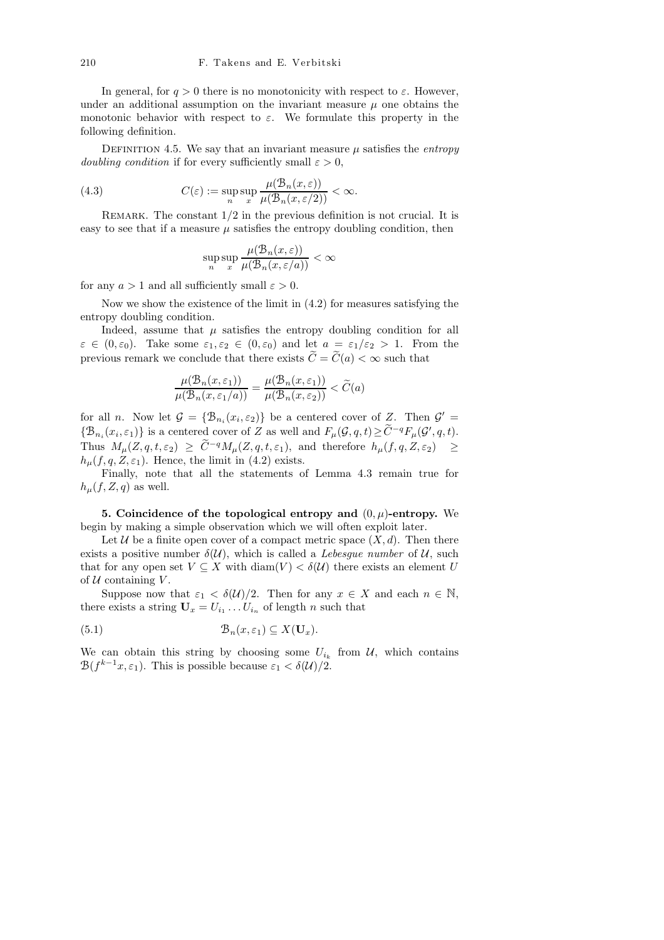In general, for  $q > 0$  there is no monotonicity with respect to  $\varepsilon$ . However, under an additional assumption on the invariant measure  $\mu$  one obtains the monotonic behavior with respect to  $\varepsilon$ . We formulate this property in the following definition.

DEFINITION 4.5. We say that an invariant measure  $\mu$  satisfies the *entropy* doubling condition if for every sufficiently small  $\varepsilon > 0$ ,

(4.3) 
$$
C(\varepsilon) := \sup_{n} \sup_{x} \frac{\mu(\mathcal{B}_n(x,\varepsilon))}{\mu(\mathcal{B}_n(x,\varepsilon/2))} < \infty.
$$

REMARK. The constant  $1/2$  in the previous definition is not crucial. It is easy to see that if a measure  $\mu$  satisfies the entropy doubling condition, then

$$
\sup_n \sup_x \frac{\mu(\mathcal{B}_n(x,\varepsilon))}{\mu(\mathcal{B}_n(x,\varepsilon/a))} < \infty
$$

for any  $a > 1$  and all sufficiently small  $\varepsilon > 0$ .

Now we show the existence of the limit in (4.2) for measures satisfying the entropy doubling condition.

Indeed, assume that  $\mu$  satisfies the entropy doubling condition for all  $\varepsilon \in (0, \varepsilon_0)$ . Take some  $\varepsilon_1, \varepsilon_2 \in (0, \varepsilon_0)$  and let  $a = \varepsilon_1/\varepsilon_2 > 1$ . From the previous remark we conclude that there exists  $\widetilde{C} = \widetilde{C}(a) < \infty$  such that

$$
\frac{\mu(\mathcal{B}_n(x,\varepsilon_1))}{\mu(\mathcal{B}_n(x,\varepsilon_1/a))} = \frac{\mu(\mathcal{B}_n(x,\varepsilon_1))}{\mu(\mathcal{B}_n(x,\varepsilon_2))} < \widetilde{C}(a)
$$

for all *n*. Now let  $G = {\mathcal{B}_{n_i}(x_i, \varepsilon_2)}$  be a centered cover of Z. Then  $G' =$  $\{\mathcal{B}_{n_i}(x_i,\varepsilon_1)\}\$ is a centered cover of Z as well and  $F_\mu(\mathcal{G},q,t) \geq \widetilde{C}^{-q}F_\mu(\mathcal{G}',q,t)$ . Thus  $M_\mu(Z, q, t, \varepsilon_2) \geq \tilde{C}^{-q} M_\mu(Z, q, t, \varepsilon_1)$ , and therefore  $h_\mu(f, q, Z, \varepsilon_2) \geq$  $h<sub>u</sub>(f, q, Z, \varepsilon_1)$ . Hence, the limit in (4.2) exists.

Finally, note that all the statements of Lemma 4.3 remain true for  $h_{\mu}(f, Z, q)$  as well.

5. Coincidence of the topological entropy and  $(0, \mu)$ -entropy. We begin by making a simple observation which we will often exploit later.

Let U be a finite open cover of a compact metric space  $(X, d)$ . Then there exists a positive number  $\delta(\mathcal{U})$ , which is called a *Lebesgue number* of  $\mathcal{U}$ , such that for any open set  $V \subseteq X$  with  $\text{diam}(V) < \delta(U)$  there exists an element U of  $U$  containing  $V$ .

Suppose now that  $\varepsilon_1 < \delta(\mathcal{U})/2$ . Then for any  $x \in X$  and each  $n \in \mathbb{N}$ , there exists a string  $U_x = U_{i_1} \dots U_{i_n}$  of length n such that

(5.1) 
$$
\mathcal{B}_n(x,\varepsilon_1) \subseteq X(\mathbf{U}_x).
$$

We can obtain this string by choosing some  $U_{i_k}$  from  $\mathcal{U}$ , which contains  $\mathcal{B}(f^{k-1}x, \varepsilon_1)$ . This is possible because  $\varepsilon_1 < \delta(\mathcal{U})/2$ .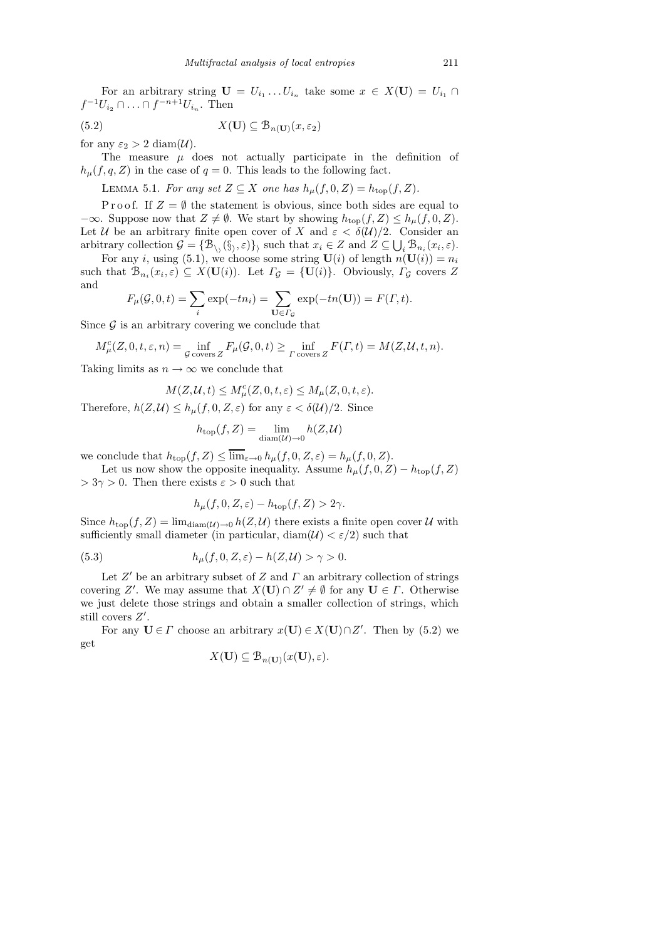For an arbitrary string  $\mathbf{U} = U_{i_1} \dots U_{i_n}$  take some  $x \in X(\mathbf{U}) = U_{i_1} \cap$  $f^{-1}U_{i_2} \cap \ldots \cap f^{-n+1}U_{i_n}$ . Then

(5.2)  $X(\mathbf{U}) \subseteq \mathcal{B}_{n(\mathbf{U})}(x, \varepsilon_2)$ 

for any  $\varepsilon_2 > 2 \text{ diam}(\mathcal{U})$ .

The measure  $\mu$  does not actually participate in the definition of  $h_{\mu}(f, q, Z)$  in the case of  $q = 0$ . This leads to the following fact.

LEMMA 5.1. For any set  $Z \subseteq X$  one has  $h_{\mu}(f, 0, Z) = h_{\text{top}}(f, Z)$ .

P r o o f. If  $Z = \emptyset$  the statement is obvious, since both sides are equal to  $-\infty$ . Suppose now that  $Z \neq \emptyset$ . We start by showing  $h_{\text{top}}(f, Z) \leq h_{\mu}(f, 0, Z)$ . Let U be an arbitrary finite open cover of X and  $\varepsilon < \delta(\mathcal{U})/2$ . Consider an arbitrary collection  $\mathcal{G} = \{ \mathcal{B}_{\setminus}(\hat{\S}, \varepsilon) \}$  such that  $x_i \in Z$  and  $Z \subseteq \bigcup_i \mathcal{B}_{n_i}(x_i, \varepsilon)$ .

For any i, using (5.1), we choose some string  $U(i)$  of length  $n(U(i)) = n_i$ such that  $\mathcal{B}_{n_i}(x_i, \varepsilon) \subseteq X(\mathbf{U}(i))$ . Let  $\Gamma_{\mathcal{G}} = {\{\mathbf{U}(i)\}}$ . Obviously,  $\Gamma_{\mathcal{G}}$  covers Z and

$$
F_{\mu}(\mathcal{G}, 0, t) = \sum_{i} \exp(-tn_i) = \sum_{\mathbf{U} \in \Gamma_{\mathcal{G}}} \exp(-tn(\mathbf{U})) = F(\Gamma, t).
$$

Since  $\mathcal G$  is an arbitrary covering we conclude that

$$
M^c_{\mu}(Z,0,t,\varepsilon,n) = \inf_{\mathcal{G} \text{ covers } Z} F_{\mu}(\mathcal{G},0,t) \ge \inf_{\Gamma \text{ covers } Z} F(\Gamma,t) = M(Z,\mathcal{U},t,n).
$$

Taking limits as  $n \to \infty$  we conclude that

$$
M(Z, \mathcal{U}, t) \le M_{\mu}^{c}(Z, 0, t, \varepsilon) \le M_{\mu}(Z, 0, t, \varepsilon).
$$

Therefore,  $h(Z, U) \leq h_{\mu}(f, 0, Z, \varepsilon)$  for any  $\varepsilon < \delta(U)/2$ . Since

$$
h_{\text{top}}(f, Z) = \lim_{\text{diam}(\mathcal{U}) \to 0} h(Z, \mathcal{U})
$$

we conclude that  $h_{\text{top}}(f, Z) \leq \overline{\lim}_{\varepsilon \to 0} h_{\mu}(f, 0, Z, \varepsilon) = h_{\mu}(f, 0, Z).$ 

Let us now show the opposite inequality. Assume  $h_{\mu}(f, 0, Z) - h_{\text{top}}(f, Z)$  $> 3\gamma > 0$ . Then there exists  $\varepsilon > 0$  such that

$$
h_{\mu}(f, 0, Z, \varepsilon) - h_{\text{top}}(f, Z) > 2\gamma.
$$

Since  $h_{\text{top}}(f, Z) = \lim_{\text{diam}(\mathcal{U}) \to 0} h(Z, \mathcal{U})$  there exists a finite open cover  $\mathcal U$  with sufficiently small diameter (in particular, diam( $\mathcal{U}$ )  $\lt \varepsilon/2$ ) such that

(5.3) 
$$
h_{\mu}(f,0,Z,\varepsilon)-h(Z,\mathcal{U})>\gamma>0.
$$

Let  $Z'$  be an arbitrary subset of  $Z$  and  $\Gamma$  an arbitrary collection of strings covering Z'. We may assume that  $X(U) \cap Z' \neq \emptyset$  for any  $U \in \Gamma$ . Otherwise we just delete those strings and obtain a smaller collection of strings, which still covers  $Z'$ .

For any  $U \in \Gamma$  choose an arbitrary  $x(U) \in X(U) \cap Z'$ . Then by (5.2) we get

$$
X(\mathbf{U}) \subseteq \mathcal{B}_{n(\mathbf{U})}(x(\mathbf{U}), \varepsilon).
$$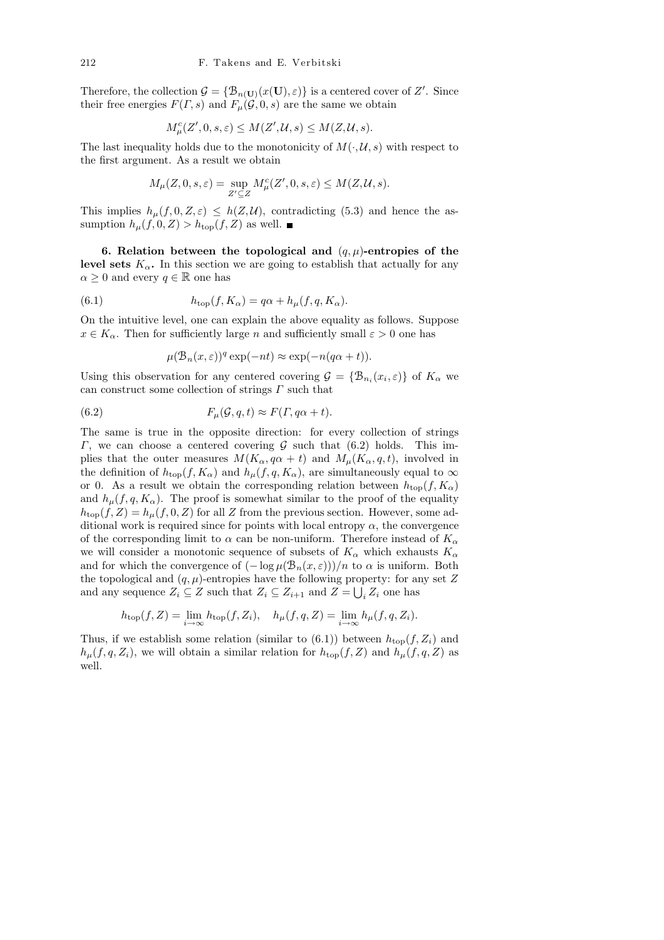Therefore, the collection  $\mathcal{G} = {\mathcal{B}_n(\mathbf{U})}(x(\mathbf{U}), \varepsilon)$  is a centered cover of Z'. Since their free energies  $F(\Gamma, s)$  and  $F_{\mu}(\mathcal{G}, 0, s)$  are the same we obtain

$$
M^c_{\mu}(Z', 0, s, \varepsilon) \le M(Z', \mathcal{U}, s) \le M(Z, \mathcal{U}, s).
$$

The last inequality holds due to the monotonicity of  $M(\cdot, \mathcal{U}, s)$  with respect to the first argument. As a result we obtain

$$
M_{\mu}(Z,0,s,\varepsilon) = \sup_{Z' \subseteq Z} M_{\mu}^c(Z',0,s,\varepsilon) \le M(Z,\mathcal{U},s).
$$

This implies  $h_{\mu}(f, 0, Z, \varepsilon) \leq h(Z, \mathcal{U})$ , contradicting (5.3) and hence the assumption  $h_{\mu}(f, 0, Z) > h_{\text{top}}(f, Z)$  as well.

6. Relation between the topological and  $(q, \mu)$ -entropies of the level sets  $K_{\alpha}$ . In this section we are going to establish that actually for any  $\alpha \geq 0$  and every  $q \in \mathbb{R}$  one has

(6.1) 
$$
h_{\text{top}}(f, K_{\alpha}) = q\alpha + h_{\mu}(f, q, K_{\alpha}).
$$

On the intuitive level, one can explain the above equality as follows. Suppose  $x \in K_\alpha$ . Then for sufficiently large n and sufficiently small  $\varepsilon > 0$  one has

$$
\mu(\mathcal{B}_n(x,\varepsilon))^q \exp(-nt) \approx \exp(-n(q\alpha + t)).
$$

Using this observation for any centered covering  $\mathcal{G} = \{ \mathcal{B}_{n_i}(x_i, \varepsilon) \}$  of  $K_\alpha$  we can construct some collection of strings  $\Gamma$  such that

(6.2) 
$$
F_{\mu}(\mathcal{G}, q, t) \approx F(\Gamma, q\alpha + t).
$$

The same is true in the opposite direction: for every collection of strings Γ, we can choose a centered covering  $G$  such that (6.2) holds. This implies that the outer measures  $M(K_{\alpha}, q\alpha + t)$  and  $M_{\mu}(K_{\alpha}, q, t)$ , involved in the definition of  $h_{\text{top}}(f, K_{\alpha})$  and  $h_{\mu}(f, q, K_{\alpha})$ , are simultaneously equal to  $\infty$ or 0. As a result we obtain the corresponding relation between  $h_{\text{top}}(f, K_{\alpha})$ and  $h_{\mu}(f, q, K_{\alpha})$ . The proof is somewhat similar to the proof of the equality  $h_{\text{top}}(f, Z) = h_{\mu}(f, 0, Z)$  for all Z from the previous section. However, some additional work is required since for points with local entropy  $\alpha$ , the convergence of the corresponding limit to  $\alpha$  can be non-uniform. Therefore instead of  $K_{\alpha}$ we will consider a monotonic sequence of subsets of  $K_{\alpha}$  which exhausts  $K_{\alpha}$ and for which the convergence of  $(-\log \mu(\mathcal{B}_n(x,\varepsilon)))/n$  to  $\alpha$  is uniform. Both the topological and  $(q, \mu)$ -entropies have the following property: for any set Z and any sequence  $Z_i \subseteq Z$  such that  $Z_i \subseteq Z_{i+1}$  and  $Z = \bigcup_i Z_i$  one has

$$
h_{\text{top}}(f, Z) = \lim_{i \to \infty} h_{\text{top}}(f, Z_i), \quad h_{\mu}(f, q, Z) = \lim_{i \to \infty} h_{\mu}(f, q, Z_i).
$$

Thus, if we establish some relation (similar to  $(6.1)$ ) between  $h_{\text{top}}(f, Z_i)$  and  $h_\mu(f, q, Z_i)$ , we will obtain a similar relation for  $h_{\text{top}}(f, Z)$  and  $h_\mu(f, q, Z)$  as well.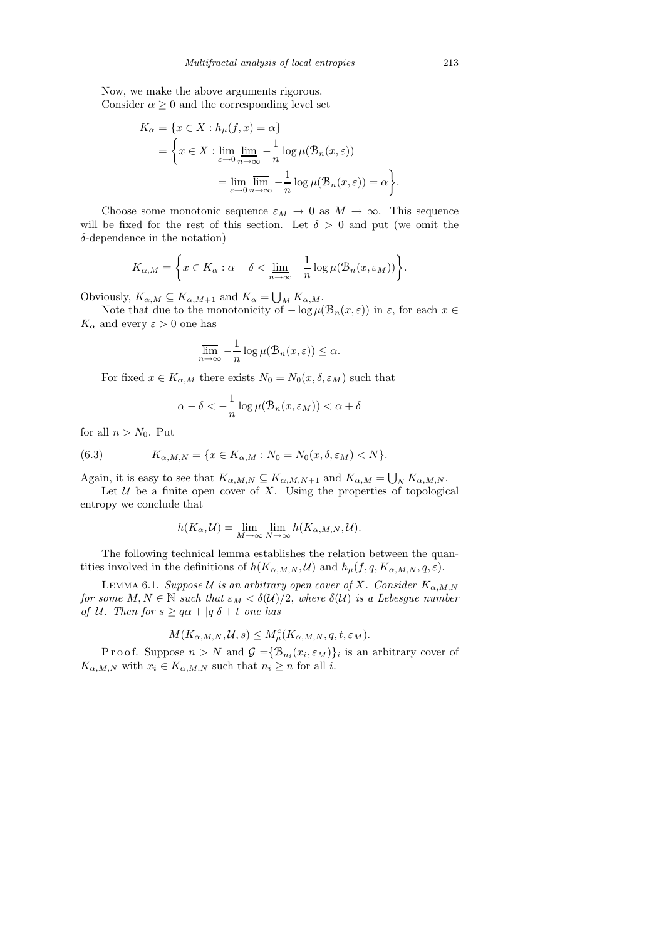Now, we make the above arguments rigorous. Consider  $\alpha \geq 0$  and the corresponding level set

$$
K_{\alpha} = \{x \in X : h_{\mu}(f, x) = \alpha\}
$$
  
= 
$$
\left\{x \in X : \lim_{\varepsilon \to 0} \lim_{n \to \infty} -\frac{1}{n} \log \mu(\mathcal{B}_{n}(x, \varepsilon))\right\}
$$
  
= 
$$
\lim_{\varepsilon \to 0} \lim_{n \to \infty} -\frac{1}{n} \log \mu(\mathcal{B}_{n}(x, \varepsilon)) = \alpha\right\}
$$

Choose some monotonic sequence  $\varepsilon_M \to 0$  as  $M \to \infty$ . This sequence will be fixed for the rest of this section. Let  $\delta > 0$  and put (we omit the  $\delta$ -dependence in the notation)

$$
K_{\alpha,M} = \left\{ x \in K_{\alpha} : \alpha - \delta < \underline{\lim}_{n \to \infty} -\frac{1}{n} \log \mu(\mathcal{B}_n(x, \varepsilon_M)) \right\}.
$$

Obviously,  $K_{\alpha,M} \subseteq K_{\alpha,M+1}$  and  $K_{\alpha} = \bigcup_{M} K_{\alpha,M}$ .

Note that due to the monotonicity of  $-\log \mu(\mathcal{B}_n(x,\varepsilon))$  in  $\varepsilon$ , for each  $x \in$  $K_{\alpha}$  and every  $\varepsilon>0$  one has

$$
\overline{\lim}_{n \to \infty} -\frac{1}{n} \log \mu(\mathcal{B}_n(x, \varepsilon)) \le \alpha.
$$

For fixed  $x \in K_{\alpha,M}$  there exists  $N_0 = N_0(x, \delta, \varepsilon_M)$  such that

$$
\alpha - \delta < -\frac{1}{n} \log \mu(\mathcal{B}_n(x, \varepsilon_M)) < \alpha + \delta
$$

for all  $n > N_0$ . Put

(6.3) 
$$
K_{\alpha,M,N} = \{x \in K_{\alpha,M} : N_0 = N_0(x,\delta,\varepsilon_M) < N\}.
$$

Again, it is easy to see that  $K_{\alpha,M,N} \subseteq K_{\alpha,M,N+1}$  and  $K_{\alpha,M} = \bigcup_N K_{\alpha,M,N}$ .

Let  $U$  be a finite open cover of X. Using the properties of topological entropy we conclude that

$$
h(K_{\alpha}, \mathcal{U}) = \lim_{M \to \infty} \lim_{N \to \infty} h(K_{\alpha, M, N}, \mathcal{U}).
$$

The following technical lemma establishes the relation between the quantities involved in the definitions of  $h(K_{\alpha,M,N}, \mathcal{U})$  and  $h_{\mu}(f, q, K_{\alpha,M,N}, q, \varepsilon)$ .

LEMMA 6.1. Suppose U is an arbitrary open cover of X. Consider  $K_{\alpha,M,N}$ for some  $M, N \in \mathbb{N}$  such that  $\varepsilon_M < \delta(\mathcal{U})/2$ , where  $\delta(\mathcal{U})$  is a Lebesgue number of U. Then for  $s \geq q\alpha + |q|\delta + t$  one has

$$
M(K_{\alpha,M,N},\mathcal{U},s) \leq M_{\mu}^{c}(K_{\alpha,M,N},q,t,\varepsilon_{M}).
$$

Proof. Suppose  $n > N$  and  $\mathcal{G} = {\mathcal{B}_{n_i}(x_i, \varepsilon_M)}_i$  is an arbitrary cover of  $K_{\alpha,M,N}$  with  $x_i \in K_{\alpha,M,N}$  such that  $n_i \geq n$  for all i.

.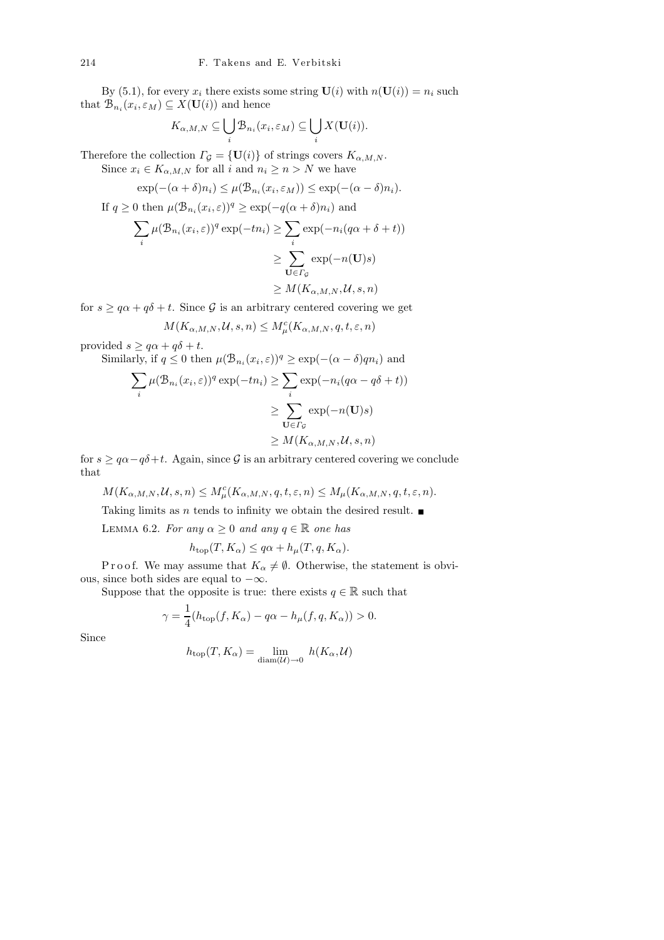By (5.1), for every  $x_i$  there exists some string  $U(i)$  with  $n(U(i)) = n_i$  such that  $\mathring{\mathcal{B}}_{n_i}(x_i, \varepsilon_M) \subseteq \mathring{X}(\mathbf{U}(i))$  and hence

$$
K_{\alpha,M,N}\subseteq \bigcup_i \mathcal{B}_{n_i}(x_i,\varepsilon_M)\subseteq \bigcup_i X(\mathbf{U}(i)).
$$

Therefore the collection  $\Gamma_{\mathcal{G}} = {\mathbf{U}(i)}$  of strings covers  $K_{\alpha,M,N}$ . Since  $x_i \in K_{\alpha, M, N}$  for all i and  $n_i \geq n > N$  we have

$$
\exp(-(\alpha + \delta)n_i) \le \mu(\mathcal{B}_{n_i}(x_i, \varepsilon_M)) \le \exp(-(\alpha - \delta)n_i).
$$

If 
$$
q \ge 0
$$
 then  $\mu(\mathcal{B}_{n_i}(x_i, \varepsilon))^q \ge \exp(-q(\alpha + \delta)n_i)$  and  
\n
$$
\sum_i \mu(\mathcal{B}_{n_i}(x_i, \varepsilon))^q \exp(-tn_i) \ge \sum_i \exp(-n_i(q\alpha + \delta + t))
$$
\n
$$
\ge \sum_{\mathbf{U} \in \Gamma_{\mathcal{G}}} \exp(-n(\mathbf{U})s)
$$
\n
$$
\ge M(K_{\alpha, M, N}, \mathcal{U}, s, n)
$$

for  $s \geq q\alpha + q\delta + t$ . Since G is an arbitrary centered covering we get

$$
M(K_{\alpha,M,N},\mathcal{U},s,n) \leq M_{\mu}^{c}(K_{\alpha,M,N},q,t,\varepsilon,n)
$$

provided  $s \geq q\alpha + q\delta + t$ .

Similarly, if  $q \leq 0$  then  $\mu(\mathcal{B}_{n_i}(x_i, \varepsilon))^q \geq \exp(-(\alpha - \delta)qn_i)$  and

$$
\sum_{i} \mu(\mathcal{B}_{n_i}(x_i, \varepsilon))^q \exp(-tn_i) \ge \sum_{i} \exp(-n_i(q\alpha - q\delta + t))
$$

$$
\ge \sum_{\mathbf{U} \in \Gamma_{\mathcal{G}}} \exp(-n(\mathbf{U})s)
$$

$$
\ge M(K_{\alpha, M, N}, \mathcal{U}, s, n)
$$

for  $s \geq q\alpha - q\delta + t$ . Again, since G is an arbitrary centered covering we conclude that

 $M(K_{\alpha,M,N},\mathcal{U},s,n) \leq M_{\mu}^{c}(K_{\alpha,M,N},q,t,\varepsilon,n) \leq M_{\mu}(K_{\alpha,M,N},q,t,\varepsilon,n).$ 

Taking limits as *n* tends to infinity we obtain the desired result.  $\blacksquare$ 

LEMMA 6.2. For any  $\alpha \geq 0$  and any  $q \in \mathbb{R}$  one has

$$
h_{\text{top}}(T, K_{\alpha}) \leq q\alpha + h_{\mu}(T, q, K_{\alpha}).
$$

P r o o f. We may assume that  $K_{\alpha} \neq \emptyset$ . Otherwise, the statement is obvious, since both sides are equal to  $-\infty$ .

Suppose that the opposite is true: there exists  $q \in \mathbb{R}$  such that

$$
\gamma = \frac{1}{4}(h_{\text{top}}(f, K_{\alpha}) - q\alpha - h_{\mu}(f, q, K_{\alpha})) > 0.
$$

Since

$$
h_{\text{top}}(T, K_{\alpha}) = \lim_{\text{diam}(\mathcal{U}) \to 0} h(K_{\alpha}, \mathcal{U})
$$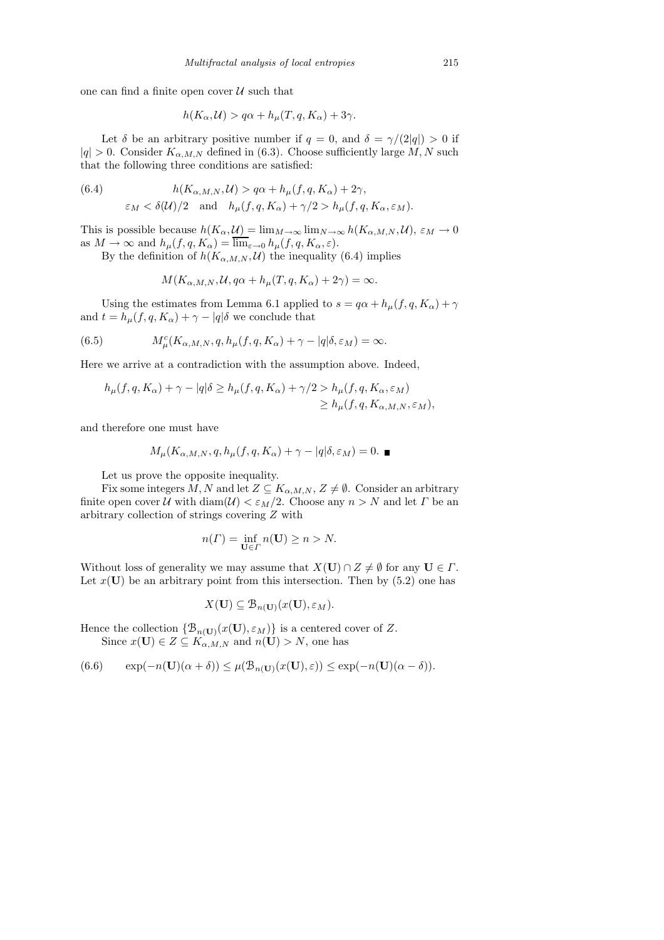one can find a finite open cover  $\mathcal U$  such that

$$
h(K_{\alpha}, \mathcal{U}) > q\alpha + h_{\mu}(T, q, K_{\alpha}) + 3\gamma.
$$

Let  $\delta$  be an arbitrary positive number if  $q = 0$ , and  $\delta = \gamma/(2|q|) > 0$  if  $|q| > 0$ . Consider  $K_{\alpha,M,N}$  defined in (6.3). Choose sufficiently large M, N such that the following three conditions are satisfied:

(6.4) 
$$
h(K_{\alpha,M,N}, \mathcal{U}) > q\alpha + h_{\mu}(f, q, K_{\alpha}) + 2\gamma,
$$

$$
\varepsilon_M < \delta(\mathcal{U})/2 \quad \text{and} \quad h_{\mu}(f, q, K_{\alpha}) + \gamma/2 > h_{\mu}(f, q, K_{\alpha}, \varepsilon_M).
$$

This is possible because  $h(K_\alpha, \mathcal{U}) = \lim_{M \to \infty} \lim_{N \to \infty} h(K_{\alpha,M,N}, \mathcal{U}), \varepsilon_M \to 0$ as  $M \to \infty$  and  $h_{\mu}(f, q, K_{\alpha}) = \overline{\lim}_{\varepsilon \to 0} h_{\mu}(f, q, K_{\alpha}, \varepsilon)$ .

By the definition of  $h(K_{\alpha,M,N}, \mathcal{U})$  the inequality (6.4) implies

$$
M(K_{\alpha,M,N},\mathcal{U},q\alpha+h_{\mu}(T,q,K_{\alpha})+2\gamma)=\infty.
$$

Using the estimates from Lemma 6.1 applied to  $s = q\alpha + h_\mu(f, q, K_\alpha) + \gamma$ and  $t = h_{\mu}(f, q, K_{\alpha}) + \gamma - |q| \delta$  we conclude that

(6.5) 
$$
M^c_\mu(K_{\alpha,M,N},q,h_\mu(f,q,K_\alpha)+\gamma-|q|\delta,\varepsilon_M)=\infty.
$$

Here we arrive at a contradiction with the assumption above. Indeed,

$$
h_{\mu}(f,q,K_{\alpha}) + \gamma - |q|\delta \ge h_{\mu}(f,q,K_{\alpha}) + \gamma/2 > h_{\mu}(f,q,K_{\alpha},\varepsilon_M)
$$
  

$$
\ge h_{\mu}(f,q,K_{\alpha,M,N},\varepsilon_M),
$$

and therefore one must have

$$
M_{\mu}(K_{\alpha,M,N},q,h_{\mu}(f,q,K_{\alpha})+\gamma-|q|\delta,\varepsilon_M)=0.\quad \blacksquare
$$

Let us prove the opposite inequality.

Fix some integers M, N and let  $Z \subseteq K_{\alpha,M,N}$ ,  $Z \neq \emptyset$ . Consider an arbitrary finite open cover U with  $\text{diam}(\mathcal{U}) < \varepsilon_M/2$ . Choose any  $n > N$  and let  $\Gamma$  be an arbitrary collection of strings covering Z with

$$
n(\Gamma) = \inf_{\mathbf{U} \in \Gamma} n(\mathbf{U}) \ge n > N.
$$

Without loss of generality we may assume that  $X(\mathbf{U}) \cap Z \neq \emptyset$  for any  $\mathbf{U} \in \Gamma$ . Let  $x(\mathbf{U})$  be an arbitrary point from this intersection. Then by (5.2) one has

$$
X(\mathbf{U}) \subseteq \mathcal{B}_{n(\mathbf{U})}(x(\mathbf{U}), \varepsilon_M)
$$

Hence the collection  $\{\mathcal{B}_{n(\mathbf{U})}(x(\mathbf{U}), \varepsilon_M)\}\)$  is a centered cover of Z. Since  $x(\mathbf{U}) \in Z \subseteq K_{\alpha,M,N}$  and  $n(\mathbf{U}) > N$ , one has

$$
(6.6) \qquad \exp(-n(\mathbf{U})(\alpha+\delta)) \le \mu(\mathcal{B}_{n(\mathbf{U})}(x(\mathbf{U}),\varepsilon)) \le \exp(-n(\mathbf{U})(\alpha-\delta)).
$$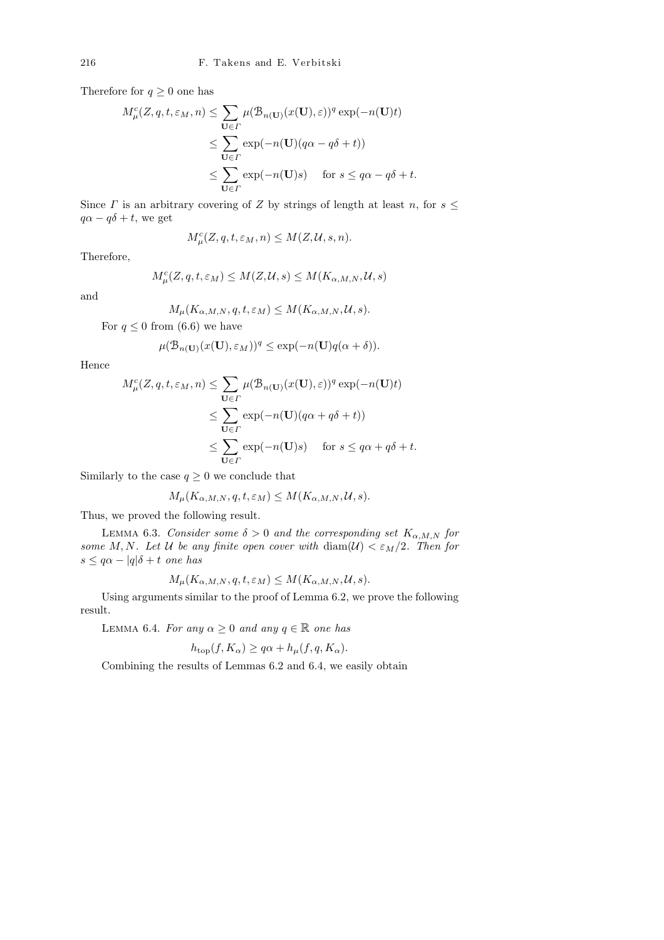Therefore for  $q \geq 0$  one has

$$
M_{\mu}^{c}(Z, q, t, \varepsilon_{M}, n) \leq \sum_{\mathbf{U} \in \Gamma} \mu(\mathcal{B}_{n(\mathbf{U})}(x(\mathbf{U}), \varepsilon))^{q} \exp(-n(\mathbf{U})t)
$$
  

$$
\leq \sum_{\mathbf{U} \in \Gamma} \exp(-n(\mathbf{U})(q\alpha - q\delta + t))
$$
  

$$
\leq \sum_{\mathbf{U} \in \Gamma} \exp(-n(\mathbf{U})s) \quad \text{for } s \leq q\alpha - q\delta + t.
$$

Since  $\Gamma$  is an arbitrary covering of  $Z$  by strings of length at least  $n$ , for  $s \leq$  $q\alpha - q\delta + t$ , we get

$$
M^c_{\mu}(Z,q,t,\varepsilon_M,n) \le M(Z,\mathcal{U},s,n).
$$

Therefore,

$$
M^c_\mu(Z,q,t,\varepsilon_M)\leq M(Z,\mathcal{U},s)\leq M(K_{\alpha,M,N},\mathcal{U},s)
$$

and

$$
M_{\mu}(K_{\alpha,M,N},q,t,\varepsilon_M)\leq M(K_{\alpha,M,N},\mathcal{U},s).
$$

For  $q \leq 0$  from (6.6) we have

$$
\mu(\mathcal{B}_{n(\mathbf{U})}(x(\mathbf{U}), \varepsilon_M))^q \le \exp(-n(\mathbf{U})q(\alpha + \delta)).
$$

Hence

$$
M_{\mu}^{c}(Z, q, t, \varepsilon_{M}, n) \leq \sum_{\mathbf{U} \in \Gamma} \mu(\mathcal{B}_{n(\mathbf{U})}(x(\mathbf{U}), \varepsilon))^{q} \exp(-n(\mathbf{U})t)
$$
  

$$
\leq \sum_{\mathbf{U} \in \Gamma} \exp(-n(\mathbf{U})(q\alpha + q\delta + t))
$$
  

$$
\leq \sum_{\mathbf{U} \in \Gamma} \exp(-n(\mathbf{U})s) \quad \text{for } s \leq q\alpha + q\delta + t.
$$

Similarly to the case  $q \geq 0$  we conclude that

$$
M_{\mu}(K_{\alpha,M,N},q,t,\varepsilon_M) \le M(K_{\alpha,M,N},\mathcal{U},s).
$$

Thus, we proved the following result.

LEMMA 6.3. Consider some  $\delta > 0$  and the corresponding set  $K_{\alpha,M,N}$  for some M, N. Let U be any finite open cover with  $\text{diam}(\mathcal{U}) < \varepsilon_M/2$ . Then for  $s \leq q\alpha - |q|\delta + t$  one has

$$
M_{\mu}(K_{\alpha,M,N},q,t,\varepsilon_M) \le M(K_{\alpha,M,N},\mathcal{U},s).
$$

Using arguments similar to the proof of Lemma 6.2, we prove the following result.

LEMMA 6.4. For any  $\alpha \geq 0$  and any  $q \in \mathbb{R}$  one has

$$
h_{\text{top}}(f, K_{\alpha}) \ge q\alpha + h_{\mu}(f, q, K_{\alpha}).
$$

Combining the results of Lemmas 6.2 and 6.4, we easily obtain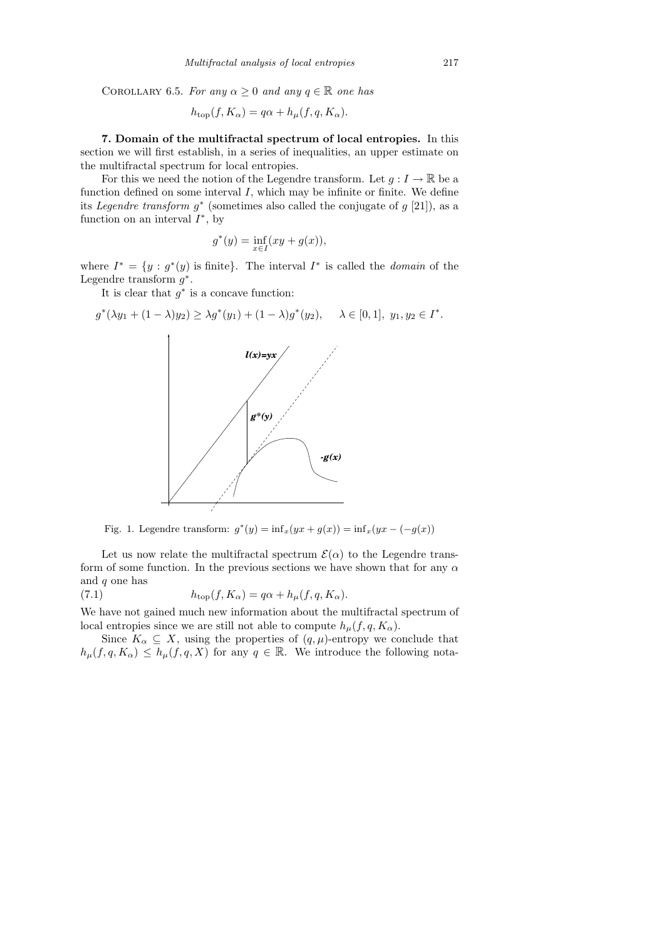COROLLARY 6.5. For any  $\alpha \geq 0$  and any  $q \in \mathbb{R}$  one has

$$
h_{\text{top}}(f, K_{\alpha}) = q\alpha + h_{\mu}(f, q, K_{\alpha}).
$$

7. Domain of the multifractal spectrum of local entropies. In this section we will first establish, in a series of inequalities, an upper estimate on the multifractal spectrum for local entropies.

For this we need the notion of the Legendre transform. Let  $g: I \to \mathbb{R}$  be a function defined on some interval  $I$ , which may be infinite or finite. We define its Legendre transform  $g^*$  (sometimes also called the conjugate of  $g$  [21]), as a function on an interval  $I^*$ , by

$$
g^*(y) = \inf_{x \in I} (xy + g(x)),
$$

where  $I^* = \{y : g^*(y) \text{ is finite}\}\.$  The interval  $I^*$  is called the *domain* of the Legendre transform  $g^*$ .

It is clear that  $g^*$  is a concave function:



Fig. 1. Legendre transform:  $g^*(y) = inf_x(yx + g(x)) = inf_x(yx - (-g(x)))$ 

Let us now relate the multifractal spectrum  $\mathcal{E}(\alpha)$  to the Legendre transform of some function. In the previous sections we have shown that for any  $\alpha$ and q one has

(7.1) 
$$
h_{\text{top}}(f, K_{\alpha}) = q\alpha + h_{\mu}(f, q, K_{\alpha}).
$$

We have not gained much new information about the multifractal spectrum of local entropies since we are still not able to compute  $h_{\mu}(f, q, K_{\alpha})$ .

Since  $K_{\alpha} \subseteq X$ , using the properties of  $(q, \mu)$ -entropy we conclude that  $h_\mu(f, q, K_\alpha) \leq h_\mu(f, q, X)$  for any  $q \in \mathbb{R}$ . We introduce the following nota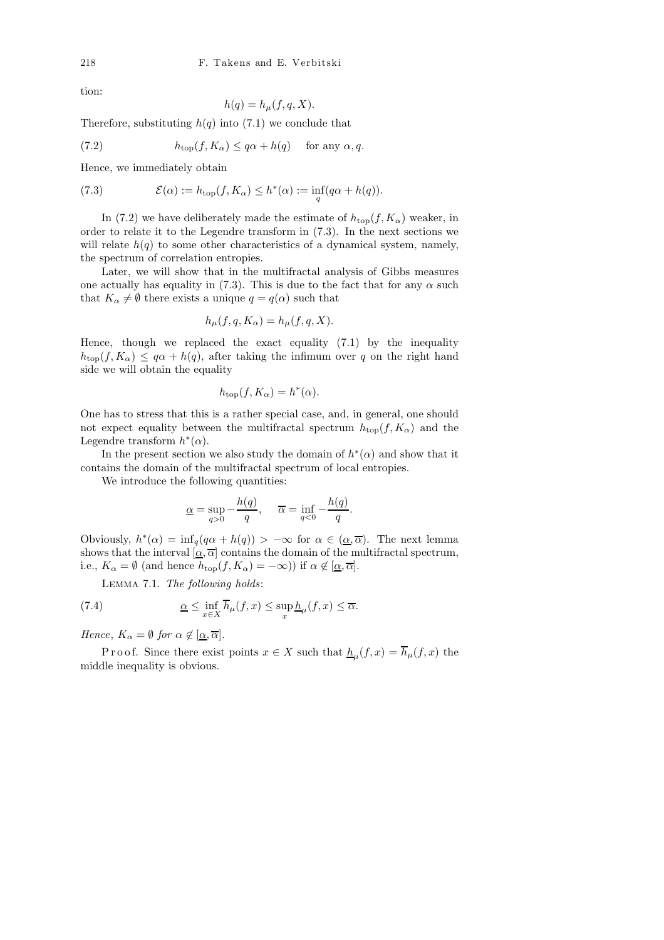tion:

$$
h(q) = h_{\mu}(f, q, X).
$$

Therefore, substituting  $h(q)$  into (7.1) we conclude that

(7.2) 
$$
h_{\text{top}}(f, K_{\alpha}) \leq q\alpha + h(q) \quad \text{for any } \alpha, q.
$$

Hence, we immediately obtain

(7.3) 
$$
\mathcal{E}(\alpha) := h_{\text{top}}(f, K_{\alpha}) \leq h^{*}(\alpha) := \inf_{q} (q\alpha + h(q)).
$$

In (7.2) we have deliberately made the estimate of  $h_{\text{top}}(f, K_{\alpha})$  weaker, in order to relate it to the Legendre transform in (7.3). In the next sections we will relate  $h(q)$  to some other characteristics of a dynamical system, namely, the spectrum of correlation entropies.

Later, we will show that in the multifractal analysis of Gibbs measures one actually has equality in (7.3). This is due to the fact that for any  $\alpha$  such that  $K_{\alpha} \neq \emptyset$  there exists a unique  $q = q(\alpha)$  such that

$$
h_{\mu}(f, q, K_{\alpha}) = h_{\mu}(f, q, X).
$$

Hence, though we replaced the exact equality (7.1) by the inequality  $h_{\text{top}}(f, K_{\alpha}) \leq q\alpha + h(q)$ , after taking the infimum over q on the right hand side we will obtain the equality

$$
h_{\text{top}}(f, K_{\alpha}) = h^*(\alpha).
$$

One has to stress that this is a rather special case, and, in general, one should not expect equality between the multifractal spectrum  $h_{\text{top}}(f, K_{\alpha})$  and the Legendre transform  $h^*(\alpha)$ .

In the present section we also study the domain of  $h^*(\alpha)$  and show that it contains the domain of the multifractal spectrum of local entropies.

We introduce the following quantities:

$$
\underline{\alpha} = \sup_{q>0} -\frac{h(q)}{q}, \quad \overline{\alpha} = \inf_{q<0} -\frac{h(q)}{q}.
$$

Obviously,  $h^*(\alpha) = \inf_q(q\alpha + h(q)) > -\infty$  for  $\alpha \in (\alpha, \overline{\alpha})$ . The next lemma shows that the interval  $[\underline{\alpha}, \overline{\alpha}]$  contains the domain of the multifractal spectrum, i.e.,  $K_{\alpha} = \emptyset$  (and hence  $h_{\text{top}}(f, K_{\alpha}) = -\infty$ )) if  $\alpha \notin [\alpha, \overline{\alpha}]$ .

Lemma 7.1. The following holds:

(7.4) 
$$
\underline{\alpha} \leq \inf_{x \in X} \overline{h}_{\mu}(f, x) \leq \sup_{x} \underline{h}_{\mu}(f, x) \leq \overline{\alpha}.
$$

Hence,  $K_{\alpha} = \emptyset$  for  $\alpha \notin [\alpha, \overline{\alpha}]$ .

P r o o f. Since there exist points  $x \in X$  such that  $\underline{h}_{\mu}(f,x) = h_{\mu}(f,x)$  the middle inequality is obvious.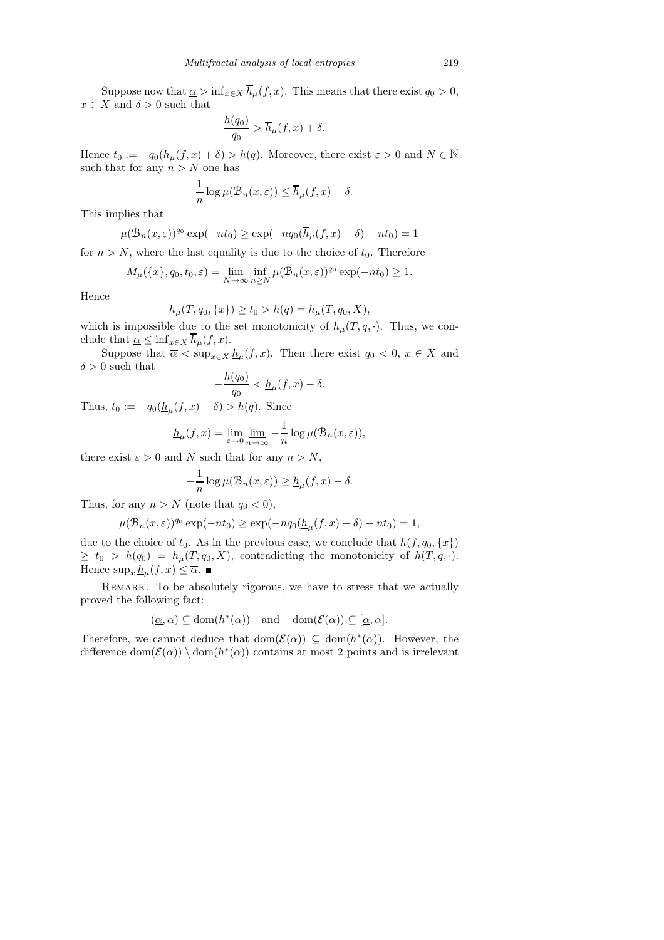Suppose now that  $\underline{\alpha} > \inf_{x \in X} \overline{h}_{\mu}(f, x)$ . This means that there exist  $q_0 > 0$ ,  $x \in X$  and  $\delta > 0$  such that

$$
-\frac{h(q_0)}{q_0} > \overline{h}_{\mu}(f, x) + \delta.
$$

Hence  $t_0 := -q_0(\overline{h}_{\mu}(f, x) + \delta) > h(q)$ . Moreover, there exist  $\varepsilon > 0$  and  $N \in \mathbb{N}$ such that for any  $n > N$  one has

$$
-\frac{1}{n}\log\mu(\mathcal{B}_n(x,\varepsilon)) \leq \overline{h}_{\mu}(f,x) + \delta.
$$

This implies that

$$
\mu(\mathcal{B}_n(x,\varepsilon))^{q_0} \exp(-nt_0) \ge \exp(-n q_0(\overline{h}_{\mu}(f,x)+\delta) - nt_0) = 1
$$

for  $n > N$ , where the last equality is due to the choice of  $t_0$ . Therefore

$$
M_{\mu}(\lbrace x \rbrace, q_0, t_0, \varepsilon) = \lim_{N \to \infty} \inf_{n \ge N} \mu(\mathcal{B}_n(x, \varepsilon))^{q_0} \exp(-nt_0) \ge 1.
$$

Hence

$$
h_{\mu}(T, q_0, \{x\}) \ge t_0 > h(q) = h_{\mu}(T, q_0, X),
$$

which is impossible due to the set monotonicity of  $h<sub>\mu</sub>(T, q, \cdot)$ . Thus, we conclude that  $\underline{\alpha} \leq \inf_{x \in X} \overline{h}_{\mu}(f, x)$ .

Suppose that  $\overline{\alpha} < \sup_{x \in X} \underline{h}_{\mu}(f, x)$ . Then there exist  $q_0 < 0, x \in X$  and  $\delta > 0$  such that

$$
-\frac{h(q_0)}{q_0} < \underline{h}_{\mu}(f, x) - \delta.
$$

Thus,  $t_0 := -q_0(\underline{h}_{\mu}(f, x) - \delta) > h(q)$ . Since

$$
\underline{h}_{\mu}(f,x) = \lim_{\varepsilon \to 0} \lim_{n \to \infty} -\frac{1}{n} \log \mu(\mathcal{B}_n(x,\varepsilon)),
$$

there exist  $\varepsilon > 0$  and N such that for any  $n > N$ ,

$$
-\frac{1}{n}\log \mu(\mathcal{B}_n(x,\varepsilon)) \geq \underline{h}_{\mu}(f,x) - \delta.
$$

Thus, for any  $n > N$  (note that  $q_0 < 0$ ),

$$
\mu(\mathcal{B}_n(x,\varepsilon))^{q_0} \exp(-nt_0) \ge \exp(-n q_0(\underline{h}_{\mu}(f,x)-\delta) - nt_0) = 1,
$$

due to the choice of  $t_0$ . As in the previous case, we conclude that  $h(f, q_0, \{x\})$  $\geq t_0 > h(q_0) = h_{\mu}(T, q_0, X)$ , contradicting the monotonicity of  $h(T, q, \cdot)$ . Hence  $\sup_x \underline{h}_{\mu}(f, x) \leq \overline{\alpha}$ .

Remark. To be absolutely rigorous, we have to stress that we actually proved the following fact:

$$
(\underline{\alpha}, \overline{\alpha}) \subseteq \text{dom}(h^*(\alpha)) \quad \text{and} \quad \text{dom}(\mathcal{E}(\alpha)) \subseteq [\underline{\alpha}, \overline{\alpha}].
$$

Therefore, we cannot deduce that  $dom(\mathcal{E}(\alpha)) \subseteq dom(h^*(\alpha))$ . However, the difference  $dom(\mathcal{E}(\alpha)) \setminus dom(h^*(\alpha))$  contains at most 2 points and is irrelevant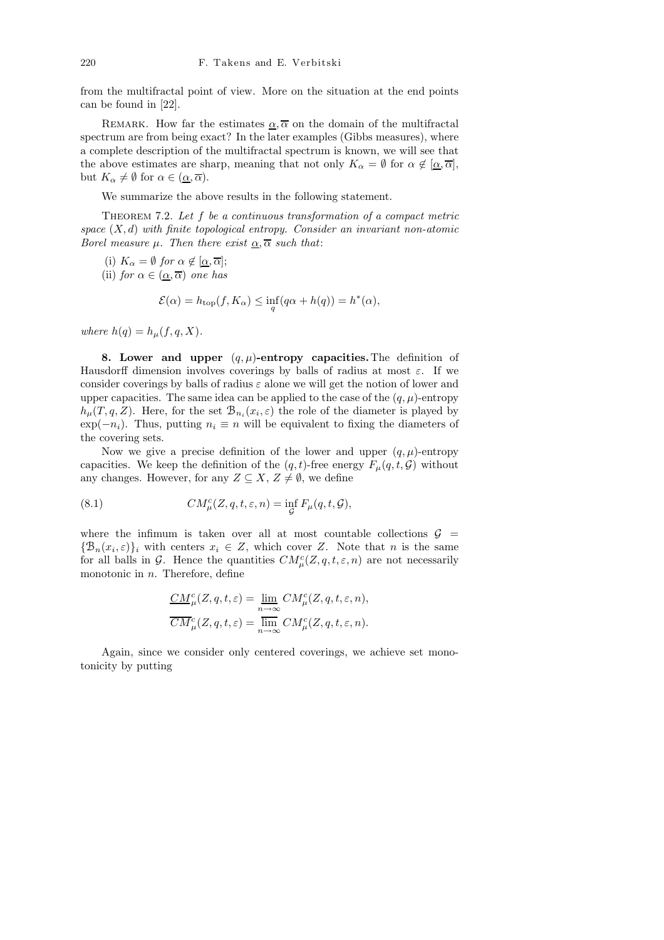from the multifractal point of view. More on the situation at the end points can be found in [22].

REMARK. How far the estimates  $\alpha, \overline{\alpha}$  on the domain of the multifractal spectrum are from being exact? In the later examples (Gibbs measures), where a complete description of the multifractal spectrum is known, we will see that the above estimates are sharp, meaning that not only  $K_{\alpha} = \emptyset$  for  $\alpha \notin [\alpha, \overline{\alpha}]$ , but  $K_{\alpha} \neq \emptyset$  for  $\alpha \in (\underline{\alpha}, \overline{\alpha})$ .

We summarize the above results in the following statement.

THEOREM 7.2. Let f be a continuous transformation of a compact metric space  $(X, d)$  with finite topological entropy. Consider an invariant non-atomic Borel measure  $\mu$ . Then there exist  $\alpha, \overline{\alpha}$  such that:

(i)  $K_{\alpha} = \emptyset$  for  $\alpha \notin [\underline{\alpha}, \overline{\alpha}];$ (ii) for  $\alpha \in (\alpha, \overline{\alpha})$  one has

$$
\mathcal{E}(\alpha) = h_{\text{top}}(f, K_{\alpha}) \le \inf_{q} (q\alpha + h(q)) = h^{*}(\alpha),
$$

where  $h(q) = h_{\mu}(f, q, X)$ .

8. Lower and upper  $(q, \mu)$ -entropy capacities. The definition of Hausdorff dimension involves coverings by balls of radius at most  $\varepsilon$ . If we consider coverings by balls of radius  $\varepsilon$  alone we will get the notion of lower and upper capacities. The same idea can be applied to the case of the  $(q, \mu)$ -entropy  $h_{\mu}(T, q, Z)$ . Here, for the set  $\mathcal{B}_{n_i}(x_i, \varepsilon)$  the role of the diameter is played by  $\exp(-n_i)$ . Thus, putting  $n_i \equiv n$  will be equivalent to fixing the diameters of the covering sets.

Now we give a precise definition of the lower and upper  $(q, \mu)$ -entropy capacities. We keep the definition of the  $(q, t)$ -free energy  $F_{\mu}(q, t, \mathcal{G})$  without any changes. However, for any  $Z \subseteq X$ ,  $Z \neq \emptyset$ , we define

(8.1) 
$$
CM_{\mu}^{c}(Z, q, t, \varepsilon, n) = \inf_{\mathcal{G}} F_{\mu}(q, t, \mathcal{G}),
$$

where the infimum is taken over all at most countable collections  $\mathcal{G}$  =  ${\mathcal{B}_n(x_i,\varepsilon)}_i$  with centers  $x_i \in Z$ , which cover Z. Note that n is the same for all balls in G. Hence the quantities  $CM_{\mu}^{c}(Z, q, t, \varepsilon, n)$  are not necessarily monotonic in  $n$ . Therefore, define

$$
\label{eq:2} \begin{aligned} \underline{CM}^c_\mu(Z,q,t,\varepsilon) &= \lim_{n\to\infty} CM^c_\mu(Z,q,t,\varepsilon,n),\\ \overline{CM}^c_\mu(Z,q,t,\varepsilon) &= \overline{\lim}_{n\to\infty} CM^c_\mu(Z,q,t,\varepsilon,n). \end{aligned}
$$

Again, since we consider only centered coverings, we achieve set monotonicity by putting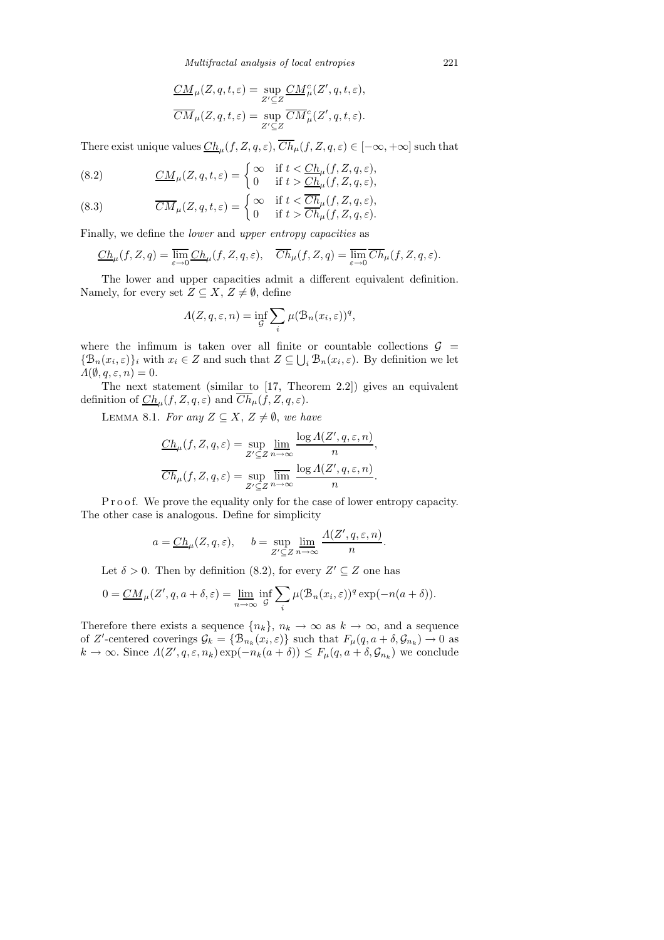*Multifractal analysis of local entropies* 221

$$
\frac{CM}{CM}_{\mu}(Z, q, t, \varepsilon) = \sup_{Z' \subseteq Z} \frac{CM_{\mu}^{c}(Z', q, t, \varepsilon)}{CM_{\mu}(Z, q, t, \varepsilon)} = \sup_{Z' \subseteq Z} \overline{CM}_{\mu}^{c}(Z', q, t, \varepsilon).
$$

There exist unique values  $\underline{Ch}_\mu(f,Z,q,\varepsilon), Ch_\mu(f,Z,q,\varepsilon)\in [-\infty,+\infty]$  such that

(8.2) 
$$
\underline{CM}_{\mu}(Z,q,t,\varepsilon) = \begin{cases} \infty & \text{if } t < \underline{Ch}_{\mu}(f,Z,q,\varepsilon), \\ 0 & \text{if } t > \underline{Ch}_{\mu}(f,Z,q,\varepsilon), \end{cases}
$$

(8.3) 
$$
\overline{CM}_{\mu}(Z,q,t,\varepsilon) = \begin{cases} \infty & \text{if } t < \overline{Ch}_{\mu}(f,Z,q,\varepsilon), \\ 0 & \text{if } t > \overline{Ch}_{\mu}(f,Z,q,\varepsilon). \end{cases}
$$

Finally, we define the lower and upper entropy capacities as

$$
\underline{Ch}_{\mu}(f, Z, q) = \overline{\lim_{\varepsilon \to 0} C h_{\mu}(f, Z, q, \varepsilon)}, \quad \overline{Ch}_{\mu}(f, Z, q) = \overline{\lim_{\varepsilon \to 0} C h_{\mu}(f, Z, q, \varepsilon)}.
$$

The lower and upper capacities admit a different equivalent definition. Namely, for every set  $Z \subseteq X$ ,  $Z \neq \emptyset$ , define

$$
\Lambda(Z, q, \varepsilon, n) = \inf_{\mathcal{G}} \sum_{i} \mu(\mathcal{B}_n(x_i, \varepsilon))^q,
$$

where the infimum is taken over all finite or countable collections  $\mathcal{G}$  =  $\{\mathcal{B}_n(x_i,\varepsilon)\}\$ <sub>i</sub> with  $x_i \in Z$  and such that  $Z \subseteq \bigcup_i \mathcal{B}_n(x_i,\varepsilon)$ . By definition we let  $\Lambda(\emptyset, q, \varepsilon, n) = 0.$ 

The next statement (similar to [17, Theorem 2.2]) gives an equivalent definition of  $\mathcal{C}_h^h(\mathcal{f}, Z, q, \varepsilon)$  and  $\mathcal{C}_h^h(\mathcal{f}, Z, q, \varepsilon)$ .

LEMMA 8.1. For any  $Z \subseteq X$ ,  $Z \neq \emptyset$ , we have

$$
\frac{Ch_\mu(f,Z,q,\varepsilon) = \sup_{Z' \subseteq Z} \lim_{n \to \infty} \frac{\log \Lambda(Z',q,\varepsilon,n)}{n},
$$

$$
\overline{Ch}_\mu(f,Z,q,\varepsilon) = \sup_{Z' \subseteq Z} \overline{\lim_{n \to \infty}} \frac{\log \Lambda(Z',q,\varepsilon,n)}{n}.
$$

P r o o f. We prove the equality only for the case of lower entropy capacity. The other case is analogous. Define for simplicity

$$
a = \underline{Ch}_{\mu}(Z, q, \varepsilon), \quad b = \sup_{Z' \subseteq Z} \lim_{n \to \infty} \frac{\Lambda(Z', q, \varepsilon, n)}{n}
$$

.

Let  $\delta > 0$ . Then by definition (8.2), for every  $Z' \subseteq Z$  one has

$$
0 = \underline{CM}_{\mu}(Z', q, a + \delta, \varepsilon) = \lim_{n \to \infty} \inf_{\mathcal{G}} \sum_{i} \mu(\mathcal{B}_n(x_i, \varepsilon))^q \exp(-n(a + \delta)).
$$

Therefore there exists a sequence  $\{n_k\}, n_k \to \infty$  as  $k \to \infty$ , and a sequence of Z'-centered coverings  $\mathcal{G}_k = \{ \mathcal{B}_{n_k}(x_i, \varepsilon) \}$  such that  $F_\mu(q, a + \delta, \mathcal{G}_{n_k}) \to 0$  as  $k \to \infty$ . Since  $A(Z', q, \varepsilon, n_k) \exp(-n_k(a + \delta)) \leq F_{\mu}(q, a + \delta, \mathcal{G}_{n_k})$  we conclude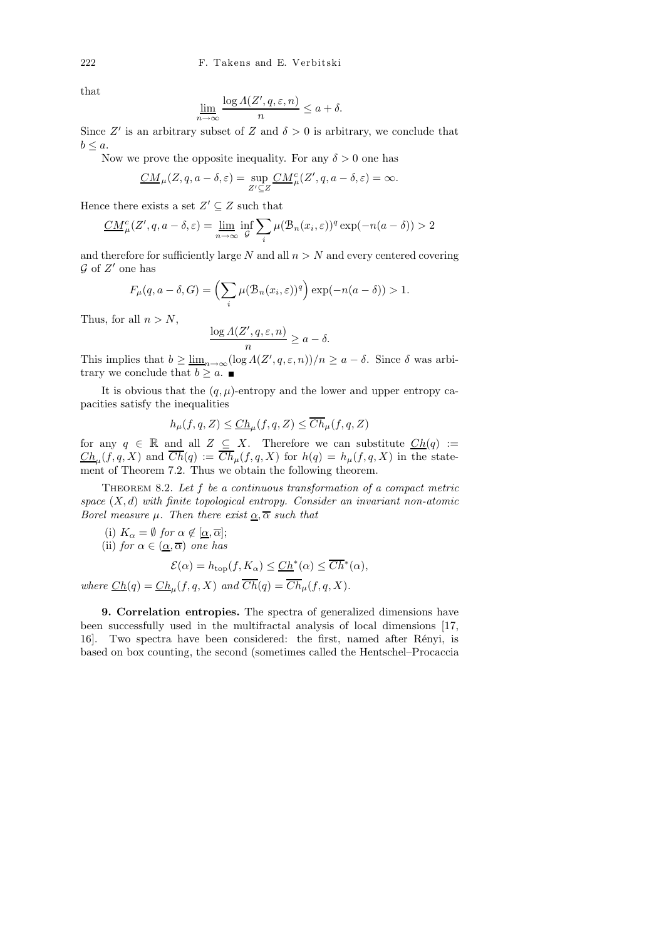that

$$
\underline{\lim_{n \to \infty}} \frac{\log \Lambda(Z', q, \varepsilon, n)}{n} \le a + \delta.
$$

Since Z' is an arbitrary subset of Z and  $\delta > 0$  is arbitrary, we conclude that  $b \leq a$ .

Now we prove the opposite inequality. For any  $\delta > 0$  one has

$$
\underline{CM}_{\mu}(Z, q, a - \delta, \varepsilon) = \sup_{Z' \subseteq Z} \underline{CM}_{\mu}^{c}(Z', q, a - \delta, \varepsilon) = \infty.
$$

Hence there exists a set  $Z' \subseteq Z$  such that

$$
\underline{CM}_{\mu}^{c}(Z',q,a-\delta,\varepsilon) = \underline{\lim}_{n \to \infty} \inf_{\mathcal{G}} \sum_{i} \mu(\mathcal{B}_{n}(x_{i},\varepsilon))^{q} \exp(-n(a-\delta)) > 2
$$

and therefore for sufficiently large  $N$  and all  $n > N$  and every centered covering  $\mathcal G$  of  $Z'$  one has

$$
F_{\mu}(q, a - \delta, G) = \left(\sum_{i} \mu(\mathcal{B}_{n}(x_{i}, \varepsilon))^{q}\right) \exp(-n(a - \delta)) > 1.
$$

Thus, for all  $n > N$ ,

$$
\frac{\log A(Z', q, \varepsilon, n)}{n} \ge a - \delta.
$$

This implies that  $b \geq \underline{\lim}_{n \to \infty} (\log A(Z', q, \varepsilon, n))/n \geq a - \delta$ . Since  $\delta$  was arbitrary we conclude that  $b \geq a$ .

It is obvious that the  $(q, \mu)$ -entropy and the lower and upper entropy capacities satisfy the inequalities

$$
h_{\mu}(f,q,Z) \leq \underline{Ch}_{\mu}(f,q,Z) \leq \overline{Ch}_{\mu}(f,q,Z)
$$

for any  $q \in \mathbb{R}$  and all  $Z \subseteq X$ . Therefore we can substitute  $Ch(q) :=$  $\mathop{Ch}\nolimits_\mu(f,q,X)$  and  $\mathop{Ch}\nolimits(q):=\mathop{Ch}\nolimits_\mu(f,q,X)$  for  $h(q)=h_\mu(f,q,X)$  in the statement of Theorem 7.2. Thus we obtain the following theorem.

THEOREM 8.2. Let f be a continuous transformation of a compact metric space  $(X, d)$  with finite topological entropy. Consider an invariant non-atomic Borel measure  $\mu$ . Then there exist  $\alpha, \overline{\alpha}$  such that

(i)  $K_{\alpha} = \emptyset$  for  $\alpha \notin [\underline{\alpha}, \overline{\alpha}];$ 

(ii) for 
$$
\alpha \in (\underline{\alpha}, \overline{\alpha})
$$
 one has

$$
\mathcal{E}(\alpha) = h_{\text{top}}(f, K_{\alpha}) \leq \underline{Ch}^*(\alpha) \leq \overline{Ch}^*(\alpha),
$$

where  $\underline{Ch}(q) = \underline{Ch}_{\mu}(f, q, X)$  and  $Ch(q) = Ch_{\mu}(f, q, X)$ .

9. Correlation entropies. The spectra of generalized dimensions have been successfully used in the multifractal analysis of local dimensions [17, 16. Two spectra have been considered: the first, named after Rényi, is based on box counting, the second (sometimes called the Hentschel–Procaccia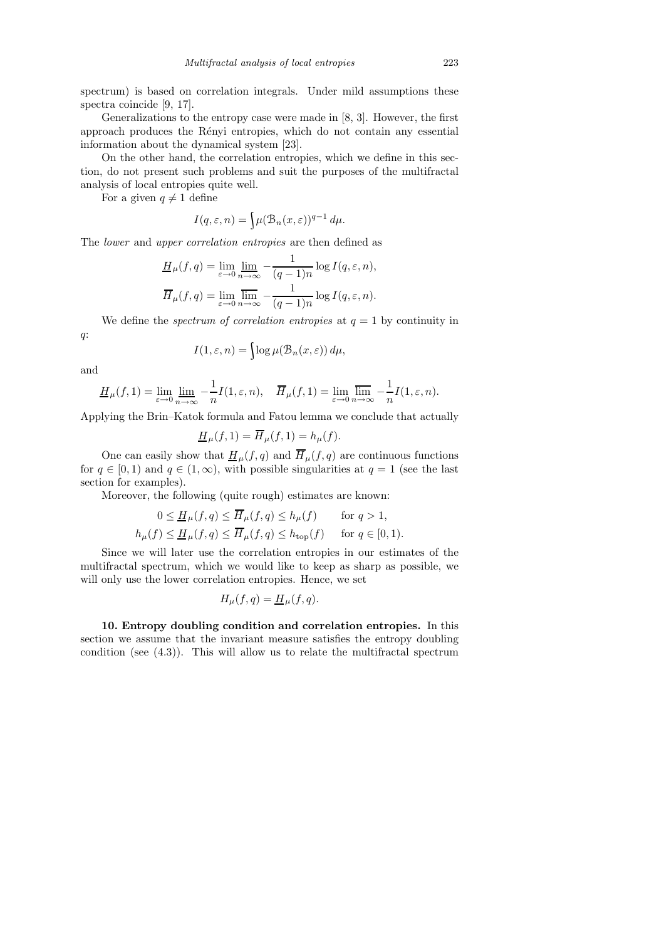spectrum) is based on correlation integrals. Under mild assumptions these spectra coincide [9, 17].

Generalizations to the entropy case were made in [8, 3]. However, the first approach produces the Rényi entropies, which do not contain any essential information about the dynamical system [23].

On the other hand, the correlation entropies, which we define in this section, do not present such problems and suit the purposes of the multifractal analysis of local entropies quite well.

For a given  $q \neq 1$  define

$$
I(q,\varepsilon,n) = \left\{ \mu(\mathcal{B}_n(x,\varepsilon))^{q-1} d\mu \right\}.
$$

The lower and upper correlation entropies are then defined as

$$
\underline{H}_{\mu}(f,q) = \lim_{\varepsilon \to 0} \lim_{n \to \infty} -\frac{1}{(q-1)n} \log I(q, \varepsilon, n),
$$

$$
\overline{H}_{\mu}(f,q) = \lim_{\varepsilon \to 0} \overline{\lim_{n \to \infty}} -\frac{1}{(q-1)n} \log I(q, \varepsilon, n).
$$

We define the *spectrum of correlation entropies* at  $q = 1$  by continuity in q:

$$
I(1, \varepsilon, n) = \int \log \mu(\mathcal{B}_n(x, \varepsilon)) d\mu,
$$

and

$$
\underline{H}_{\mu}(f,1) = \lim_{\varepsilon \to 0} \lim_{n \to \infty} -\frac{1}{n} I(1,\varepsilon,n), \quad \overline{H}_{\mu}(f,1) = \lim_{\varepsilon \to 0} \overline{\lim_{n \to \infty}} -\frac{1}{n} I(1,\varepsilon,n).
$$

Applying the Brin–Katok formula and Fatou lemma we conclude that actually

$$
\underline{H}_{\mu}(f,1) = \overline{H}_{\mu}(f,1) = h_{\mu}(f).
$$

One can easily show that  $\underline{H}_{\mu}(f,q)$  and  $\overline{H}_{\mu}(f,q)$  are continuous functions for  $q \in [0, 1)$  and  $q \in (1, \infty)$ , with possible singularities at  $q = 1$  (see the last section for examples).

Moreover, the following (quite rough) estimates are known:

$$
0 \le \underline{H}_{\mu}(f,q) \le \overline{H}_{\mu}(f,q) \le h_{\mu}(f) \quad \text{for } q > 1,
$$
  

$$
h_{\mu}(f) \le \underline{H}_{\mu}(f,q) \le \overline{H}_{\mu}(f,q) \le h_{\text{top}}(f) \quad \text{for } q \in [0,1).
$$

Since we will later use the correlation entropies in our estimates of the multifractal spectrum, which we would like to keep as sharp as possible, we will only use the lower correlation entropies. Hence, we set

$$
H_{\mu}(f,q) = \underline{H}_{\mu}(f,q).
$$

10. Entropy doubling condition and correlation entropies. In this section we assume that the invariant measure satisfies the entropy doubling condition (see (4.3)). This will allow us to relate the multifractal spectrum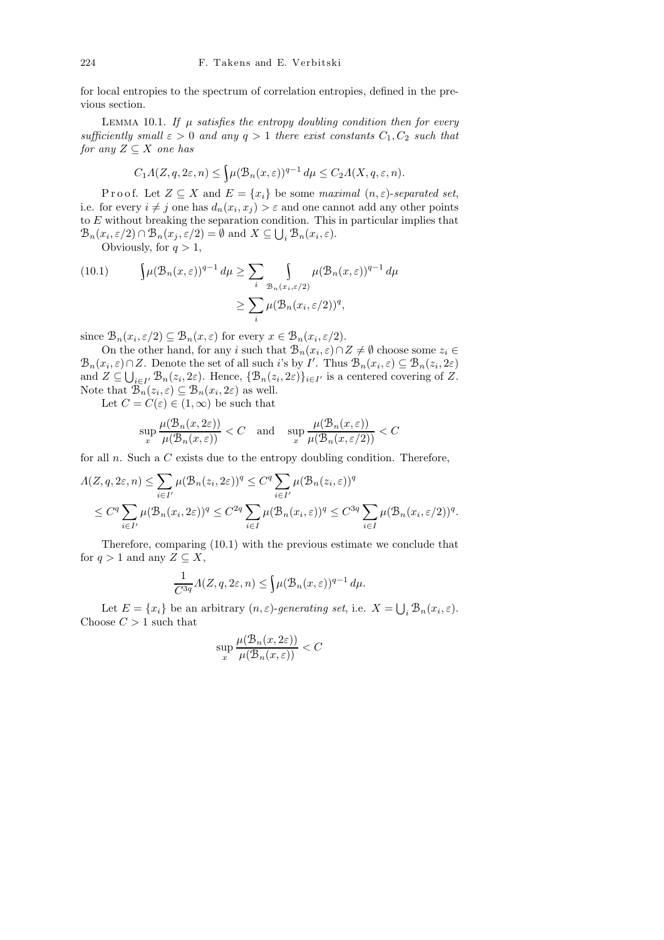for local entropies to the spectrum of correlation entropies, defined in the previous section.

LEMMA 10.1. If  $\mu$  satisfies the entropy doubling condition then for every sufficiently small  $\varepsilon > 0$  and any  $q > 1$  there exist constants  $C_1, C_2$  such that for any  $Z \subseteq X$  one has

$$
C_1 \Lambda(Z, q, 2\varepsilon, n) \le \int \mu(\mathcal{B}_n(x, \varepsilon))^{q-1} d\mu \le C_2 \Lambda(X, q, \varepsilon, n).
$$

P r o o f. Let  $Z \subseteq X$  and  $E = \{x_i\}$  be some maximal  $(n, \varepsilon)$ -separated set, i.e. for every  $i \neq j$  one has  $d_n(x_i, x_j) > \varepsilon$  and one cannot add any other points to E without breaking the separation condition. This in particular implies that  $\mathcal{B}_n(x_i, \varepsilon/2) \cap \mathcal{B}_n(x_j, \varepsilon/2) = \emptyset$  and  $X \subseteq \bigcup_i \mathcal{B}_n(x_i, \varepsilon)$ .

Obviously, for  $q > 1$ ,

(10.1) 
$$
\int \mu(\mathcal{B}_n(x,\varepsilon))^{q-1} d\mu \geq \sum_i \int_{\mathcal{B}_n(x_i,\varepsilon/2)} \mu(\mathcal{B}_n(x,\varepsilon))^{q-1} d\mu
$$

$$
\geq \sum_i \mu(\mathcal{B}_n(x_i,\varepsilon/2))^q,
$$

since  $\mathcal{B}_n(x_i, \varepsilon/2) \subseteq \mathcal{B}_n(x, \varepsilon)$  for every  $x \in \mathcal{B}_n(x_i, \varepsilon/2)$ .

On the other hand, for any i such that  $\mathcal{B}_n(x_i, \varepsilon) \cap Z \neq \emptyset$  choose some  $z_i \in$  $\mathcal{B}_n(x_i, \varepsilon) \cap Z$ . Denote the set of all such i's by I'. Thus  $\mathcal{B}_n(x_i, \varepsilon) \subseteq \mathcal{B}_n(z_i, 2\varepsilon)$ and  $Z \subseteq \bigcup_{i \in I'} \mathcal{B}_n(z_i, 2\varepsilon)$ . Hence,  $\{\mathcal{B}_n(z_i, 2\varepsilon)\}_{i \in I'}$  is a centered covering of  $Z$ . Note that  $\mathcal{B}_n(z_i, \varepsilon) \subseteq \mathcal{B}_n(x_i, 2\varepsilon)$  as well.

Let  $C = C(\varepsilon) \in (1,\infty)$  be such that

$$
\sup_{x} \frac{\mu(\mathcal{B}_n(x, 2\varepsilon))}{\mu(\mathcal{B}_n(x, \varepsilon))} < C \quad \text{and} \quad \sup_{x} \frac{\mu(\mathcal{B}_n(x, \varepsilon))}{\mu(\mathcal{B}_n(x, \varepsilon/2))} < C
$$

for all  $n$ . Such a  $C$  exists due to the entropy doubling condition. Therefore,

$$
\Lambda(Z, q, 2\varepsilon, n) \leq \sum_{i \in I'} \mu(\mathcal{B}_n(z_i, 2\varepsilon))^q \leq C^q \sum_{i \in I'} \mu(\mathcal{B}_n(z_i, \varepsilon))^q
$$
  

$$
\leq C^q \sum_{i \in I'} \mu(\mathcal{B}_n(x_i, 2\varepsilon))^q \leq C^{2q} \sum_{i \in I'} \mu(\mathcal{B}_n(x_i, \varepsilon))^q \leq C^{3q} \sum_{i \in I'} \mu(\mathcal{B}_n(x_i, \varepsilon/2))^q.
$$

Therefore, comparing (10.1) with the previous estimate we conclude that for  $q > 1$  and any  $Z \subseteq X$ ,

$$
\frac{1}{C^{3q}}\Lambda(Z, q, 2\varepsilon, n) \le \int \mu(\mathcal{B}_n(x, \varepsilon))^{q-1} d\mu.
$$

Let  $E = \{x_i\}$  be an arbitrary  $(n, \varepsilon)$ -generating set, i.e.  $X = \bigcup_i \mathcal{B}_n(x_i, \varepsilon)$ . Choose  $C > 1$  such that

$$
\sup_{x} \frac{\mu(\mathcal{B}_n(x, 2\varepsilon))}{\mu(\mathcal{B}_n(x, \varepsilon))} < C
$$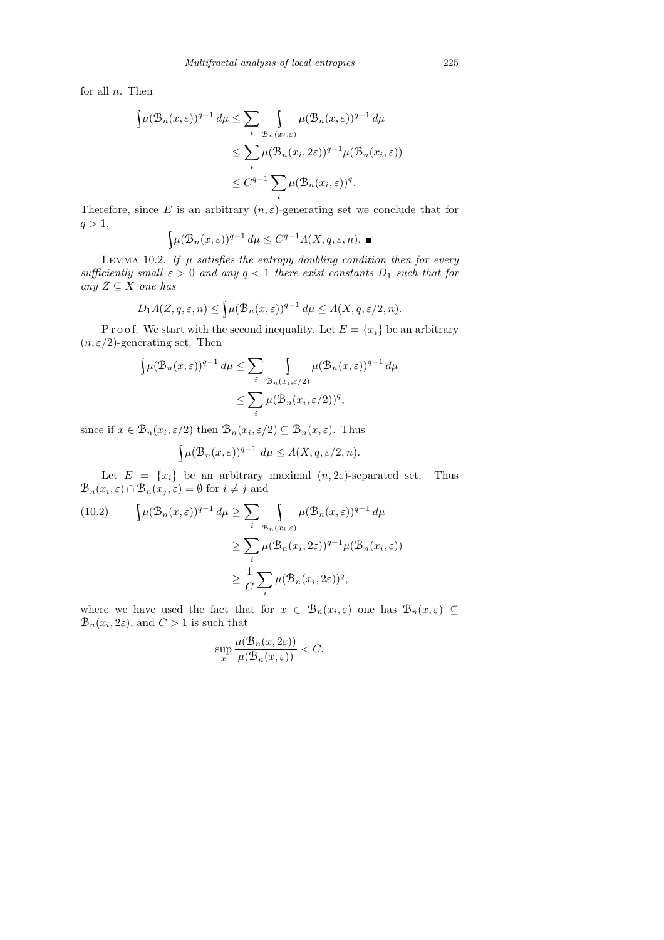for all  $n$ . Then

$$
\int \mu(\mathcal{B}_n(x,\varepsilon))^{q-1} d\mu \leq \sum_i \int_{\mathcal{B}_n(x_i,\varepsilon)} \mu(\mathcal{B}_n(x,\varepsilon))^{q-1} d\mu
$$
  

$$
\leq \sum_i \mu(\mathcal{B}_n(x_i, 2\varepsilon))^{q-1} \mu(\mathcal{B}_n(x_i,\varepsilon))
$$
  

$$
\leq C^{q-1} \sum_i \mu(\mathcal{B}_n(x_i,\varepsilon))^q.
$$

Therefore, since E is an arbitrary  $(n, \varepsilon)$ -generating set we conclude that for  $q > 1$ ,

$$
\int \mu(\mathcal{B}_n(x,\varepsilon))^{q-1} d\mu \le C^{q-1} \Lambda(X,q,\varepsilon,n). \blacksquare
$$

LEMMA 10.2. If  $\mu$  satisfies the entropy doubling condition then for every sufficiently small  $\varepsilon > 0$  and any  $q < 1$  there exist constants  $D_1$  such that for any  $Z \subseteq X$  one has

$$
D_1 \Lambda(Z, q, \varepsilon, n) \le \int \mu(\mathcal{B}_n(x, \varepsilon))^{q-1} d\mu \le \Lambda(X, q, \varepsilon/2, n).
$$

P r o o f. We start with the second inequality. Let  $E = \{x_i\}$  be an arbitrary  $(n, \varepsilon/2)$ -generating set. Then

$$
\int \mu(\mathcal{B}_n(x,\varepsilon))^{q-1} d\mu \leq \sum_i \int_{\mathcal{B}_n(x_i,\varepsilon/2)} \mu(\mathcal{B}_n(x,\varepsilon))^{q-1} d\mu
$$
  

$$
\leq \sum_i \mu(\mathcal{B}_n(x_i,\varepsilon/2))^q,
$$

since if  $x \in \mathcal{B}_n(x_i, \varepsilon/2)$  then  $\mathcal{B}_n(x_i, \varepsilon/2) \subseteq \mathcal{B}_n(x, \varepsilon)$ . Thus

$$
\int \mu(\mathcal{B}_n(x,\varepsilon))^{q-1} d\mu \leq \Lambda(X,q,\varepsilon/2,n).
$$

Let  $E = \{x_i\}$  be an arbitrary maximal  $(n, 2\varepsilon)$ -separated set. Thus  $\mathcal{B}_n(x_i, \varepsilon) \cap \mathcal{B}_n(x_j, \varepsilon) = \emptyset$  for  $i \neq j$  and

(10.2) 
$$
\int \mu(\mathcal{B}_n(x,\varepsilon))^{q-1} d\mu \ge \sum_i \int_{\mathcal{B}_n(x_i,\varepsilon)} \mu(\mathcal{B}_n(x,\varepsilon))^{q-1} d\mu
$$

$$
\ge \sum_i \mu(\mathcal{B}_n(x_i, 2\varepsilon))^{q-1} \mu(\mathcal{B}_n(x_i,\varepsilon))
$$

$$
\ge \frac{1}{C} \sum_i \mu(\mathcal{B}_n(x_i, 2\varepsilon))^q,
$$

where we have used the fact that for  $x \in \mathcal{B}_n(x_i, \varepsilon)$  one has  $\mathcal{B}_n(x, \varepsilon) \subseteq$  $\mathcal{B}_n(x_i, 2\varepsilon)$ , and  $C > 1$  is such that

$$
\sup_{x} \frac{\mu(\mathcal{B}_n(x, 2\varepsilon))}{\mu(\mathcal{B}_n(x, \varepsilon))} < C.
$$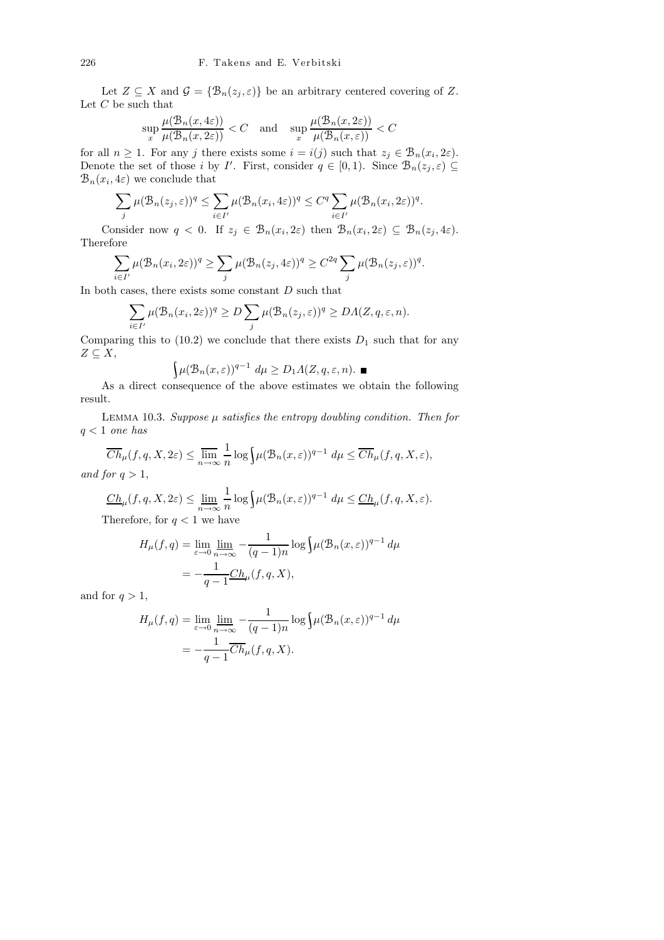Let  $Z \subseteq X$  and  $\mathcal{G} = {\mathcal{B}_n(z_i, \varepsilon)}$  be an arbitrary centered covering of Z. Let  $C$  be such that

$$
\sup_x\frac{\mu(\mathcal{B}_n(x,4\varepsilon))}{\mu(\mathcal{B}_n(x,2\varepsilon))}
$$

for all  $n \geq 1$ . For any j there exists some  $i = i(j)$  such that  $z_j \in \mathcal{B}_n(x_i, 2\varepsilon)$ . Denote the set of those i by I'. First, consider  $q \in [0,1)$ . Since  $\mathcal{B}_n(z_j, \varepsilon) \subseteq$  $\mathcal{B}_n(x_i, 4\varepsilon)$  we conclude that

$$
\sum_{j} \mu(\mathcal{B}_n(z_j,\varepsilon))^q \leq \sum_{i \in I'} \mu(\mathcal{B}_n(x_i,4\varepsilon))^q \leq C^q \sum_{i \in I'} \mu(\mathcal{B}_n(x_i,2\varepsilon))^q.
$$

Consider now  $q < 0$ . If  $z_j \in \mathcal{B}_n(x_i, 2\varepsilon)$  then  $\mathcal{B}_n(x_i, 2\varepsilon) \subseteq \mathcal{B}_n(z_j, 4\varepsilon)$ . Therefore

$$
\sum_{i \in I'} \mu(\mathcal{B}_n(x_i, 2\varepsilon))^q \ge \sum_j \mu(\mathcal{B}_n(z_j, 4\varepsilon))^q \ge C^{2q} \sum_j \mu(\mathcal{B}_n(z_j, \varepsilon))^q.
$$

In both cases, there exists some constant  $D$  such that

$$
\sum_{i \in I'} \mu(\mathcal{B}_n(x_i, 2\varepsilon))^q \ge D \sum_j \mu(\mathcal{B}_n(z_j, \varepsilon))^q \ge D\Lambda(Z, q, \varepsilon, n).
$$

Comparing this to  $(10.2)$  we conclude that there exists  $D_1$  such that for any  $Z \subseteq X$ ,

$$
\int \mu(\mathcal{B}_n(x,\varepsilon))^{q-1} d\mu \ge D_1 \Lambda(Z,q,\varepsilon,n).
$$

As a direct consequence of the above estimates we obtain the following result.

LEMMA 10.3. Suppose  $\mu$  satisfies the entropy doubling condition. Then for  $q < 1$  one has

$$
\overline{Ch}_{\mu}(f,q,X,2\varepsilon) \le \lim_{n \to \infty} \frac{1}{n} \log \int \mu(\mathcal{B}_n(x,\varepsilon))^{q-1} d\mu \le \overline{Ch}_{\mu}(f,q,X,\varepsilon),
$$
  
for  $q > 1$ 

and for  $q > 1$ ,

$$
\underline{Ch}_{\mu}(f,q,X,2\varepsilon)\leq \varliminf_{n\to\infty}\frac{1}{n}\log\Bigl(\mu(\mathcal{B}_n(x,\varepsilon))^{q-1}\,d\mu\leq \underline{Ch}_{\mu}(f,q,X,\varepsilon).
$$
 Therefore, for  $q<1$  we have

$$
H_{\mu}(f,q) = \lim_{\varepsilon \to 0} \lim_{n \to \infty} -\frac{1}{(q-1)n} \log \int \mu(\mathcal{B}_n(x,\varepsilon))^{q-1} d\mu
$$
  
= 
$$
-\frac{1}{q-1} \underline{Ch}_{\mu}(f,q,X),
$$

and for  $q > 1$ ,

$$
H_{\mu}(f,q) = \lim_{\varepsilon \to 0} \lim_{n \to \infty} -\frac{1}{(q-1)n} \log \int \mu(\mathcal{B}_n(x,\varepsilon))^{q-1} d\mu
$$
  
= 
$$
-\frac{1}{q-1} \overline{Ch}_{\mu}(f,q,X).
$$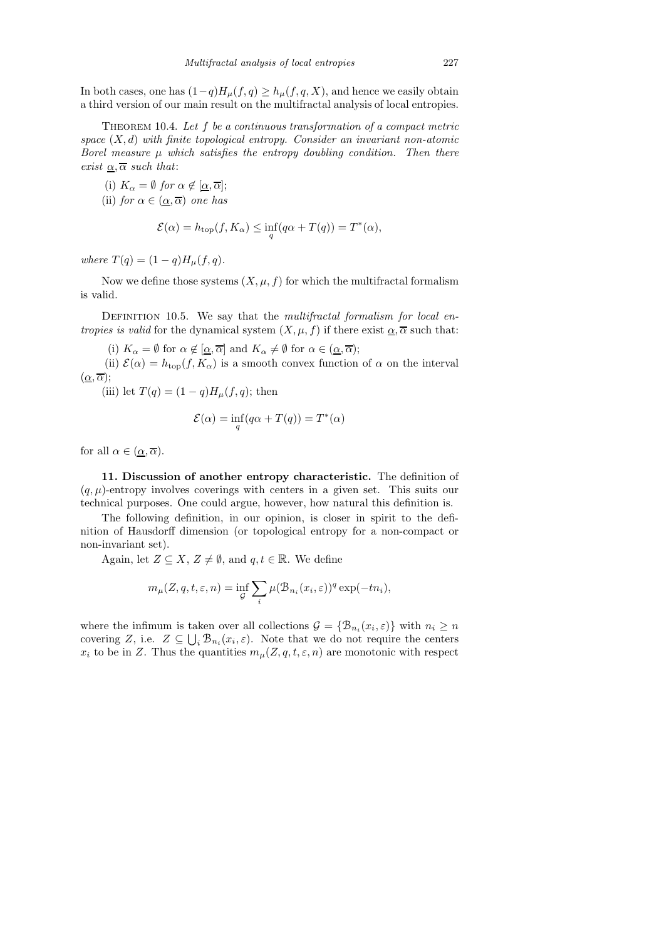In both cases, one has  $(1-q)H<sub>\mu</sub>(f, q) \geq h_{\mu}(f, q, X)$ , and hence we easily obtain a third version of our main result on the multifractal analysis of local entropies.

THEOREM 10.4. Let  $f$  be a continuous transformation of a compact metric space  $(X, d)$  with finite topological entropy. Consider an invariant non-atomic Borel measure  $\mu$  which satisfies the entropy doubling condition. Then there exist  $\alpha, \overline{\alpha}$  such that:

(i)  $K_{\alpha} = \emptyset$  for  $\alpha \notin [\underline{\alpha}, \overline{\alpha}];$ (ii) for  $\alpha \in (\alpha, \overline{\alpha})$  one has

$$
\mathcal{E}(\alpha) = h_{\text{top}}(f, K_{\alpha}) \le \inf_{q} (q\alpha + T(q)) = T^*(\alpha),
$$

where  $T(q) = (1-q)H_{\mu}(f,q)$ .

Now we define those systems  $(X, \mu, f)$  for which the multifractal formalism is valid.

DEFINITION 10.5. We say that the *multifractal formalism for local entropies is valid* for the dynamical system  $(X, \mu, f)$  if there exist  $\alpha, \overline{\alpha}$  such that:

(i)  $K_{\alpha} = \emptyset$  for  $\alpha \notin [\alpha, \overline{\alpha}]$  and  $K_{\alpha} \neq \emptyset$  for  $\alpha \in (\alpha, \overline{\alpha})$ ;

(ii)  $\mathcal{E}(\alpha) = h_{\text{top}}(f, K_{\alpha})$  is a smooth convex function of  $\alpha$  on the interval  $(\underline{\alpha}, \overline{\alpha});$ 

(iii) let  $T(q) = (1 - q)H_{\mu}(f, q)$ ; then

$$
\mathcal{E}(\alpha) = \inf_{q} (q\alpha + T(q)) = T^*(\alpha)
$$

for all  $\alpha \in (\alpha, \overline{\alpha})$ .

11. Discussion of another entropy characteristic. The definition of  $(q, \mu)$ -entropy involves coverings with centers in a given set. This suits our technical purposes. One could argue, however, how natural this definition is.

The following definition, in our opinion, is closer in spirit to the definition of Hausdorff dimension (or topological entropy for a non-compact or non-invariant set).

Again, let  $Z \subseteq X$ ,  $Z \neq \emptyset$ , and  $q, t \in \mathbb{R}$ . We define

$$
m_{\mu}(Z, q, t, \varepsilon, n) = \inf_{\mathcal{G}} \sum_{i} \mu(\mathcal{B}_{n_i}(x_i, \varepsilon))^q \exp(-tn_i),
$$

where the infimum is taken over all collections  $\mathcal{G} = \{ \mathcal{B}_{n_i}(x_i, \varepsilon) \}$  with  $n_i \ge n$ covering Z, i.e.  $Z \subseteq \bigcup_i \mathcal{B}_{n_i}(x_i, \varepsilon)$ . Note that we do not require the centers  $x_i$  to be in Z. Thus the quantities  $m_\mu(Z, q, t, \varepsilon, n)$  are monotonic with respect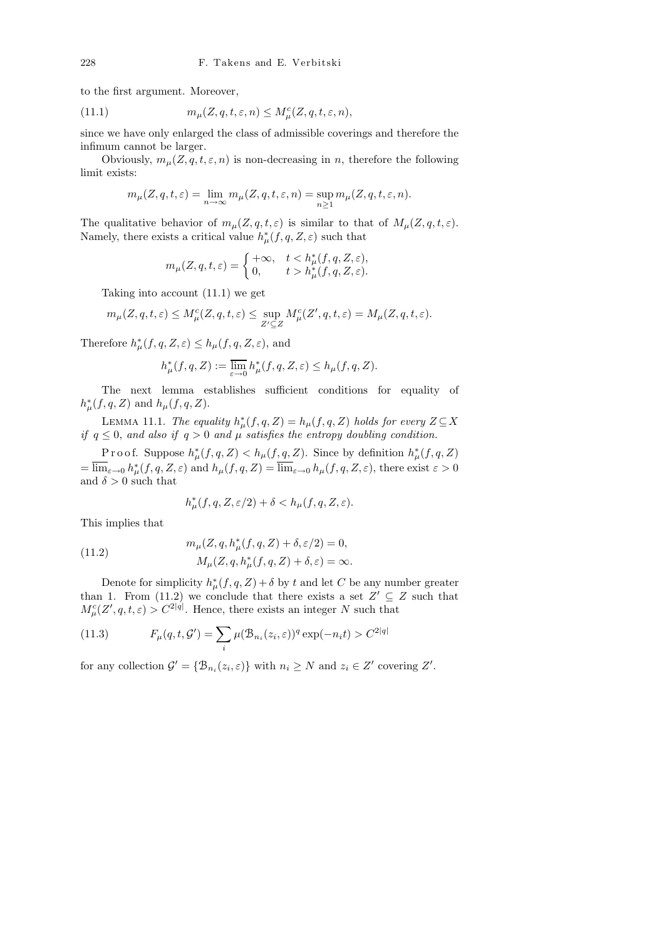to the first argument. Moreover,

(11.1) 
$$
m_{\mu}(Z, q, t, \varepsilon, n) \le M_{\mu}^{c}(Z, q, t, \varepsilon, n),
$$

since we have only enlarged the class of admissible coverings and therefore the infimum cannot be larger.

Obviously,  $m_{\mu}(Z, q, t, \varepsilon, n)$  is non-decreasing in n, therefore the following limit exists:

$$
m_{\mu}(Z, q, t, \varepsilon) = \lim_{n \to \infty} m_{\mu}(Z, q, t, \varepsilon, n) = \sup_{n \ge 1} m_{\mu}(Z, q, t, \varepsilon, n).
$$

The qualitative behavior of  $m_{\mu}(Z, q, t, \varepsilon)$  is similar to that of  $M_{\mu}(Z, q, t, \varepsilon)$ . Namely, there exists a critical value  $h^*_{\mu}(f, q, Z, \varepsilon)$  such that

$$
m_{\mu}(Z, q, t, \varepsilon) = \begin{cases} +\infty, & t < h_{\mu}^*(f, q, Z, \varepsilon), \\ 0, & t > h_{\mu}^*(f, q, Z, \varepsilon). \end{cases}
$$

Taking into account (11.1) we get

$$
m_\mu(Z,q,t,\varepsilon)\leq M_\mu^c(Z,q,t,\varepsilon)\leq \sup_{Z'\subseteq Z}M_\mu^c(Z',q,t,\varepsilon)=M_\mu(Z,q,t,\varepsilon).
$$

Therefore  $h^*_{\mu}(f, q, Z, \varepsilon) \leq h_{\mu}(f, q, Z, \varepsilon)$ , and

$$
h^*_\mu(f,q,Z):=\mathop{\overline{\lim}}\limits_{\varepsilon\to 0}h^*_\mu(f,q,Z,\varepsilon)\leq h_\mu(f,q,Z).
$$

The next lemma establishes sufficient conditions for equality of  $h^*_{\mu}(f, q, Z)$  and  $h_{\mu}(f, q, Z)$ .

LEMMA 11.1. The equality  $h^*_{\mu}(f,q,Z) = h_{\mu}(f,q,Z)$  holds for every  $Z \subseteq X$ if  $q \leq 0$ , and also if  $q > 0$  and  $\mu$  satisfies the entropy doubling condition.

Proof. Suppose  $h^*_{\mu}(f,q,Z) < h_{\mu}(f,q,Z)$ . Since by definition  $h^*_{\mu}(f,q,Z)$  $=\overline{\lim}_{\varepsilon\to 0} h^*_{\mu}(f,q,Z,\varepsilon)$  and  $h_{\mu}(f,q,Z)=\overline{\lim}_{\varepsilon\to 0} h_{\mu}(f,q,Z,\varepsilon)$ , there exist  $\varepsilon > 0$ and  $\delta > 0$  such that

$$
h^*_\mu(f,q,Z,\varepsilon/2)+\delta
$$

This implies that

(11.2) 
$$
m_{\mu}(Z, q, h_{\mu}^{*}(f, q, Z) + \delta, \varepsilon/2) = 0, \nM_{\mu}(Z, q, h_{\mu}^{*}(f, q, Z) + \delta, \varepsilon) = \infty.
$$

Denote for simplicity  $h^*_{\mu}(f, q, Z) + \delta$  by t and let C be any number greater than 1. From (11.2) we conclude that there exists a set  $Z' \subseteq Z$  such that  $M_{\mu}^{c}(Z', q, t, \varepsilon) > C^{2|q|}$ . Hence, there exists an integer N such that

(11.3) 
$$
F_{\mu}(q, t, \mathcal{G}') = \sum_{i} \mu(\mathcal{B}_{n_i}(z_i, \varepsilon))^q \exp(-n_i t) > C^{2|q|}
$$

for any collection  $\mathcal{G}' = \{ \mathcal{B}_{n_i}(z_i, \varepsilon) \}$  with  $n_i \geq N$  and  $z_i \in Z'$  covering  $Z'$ .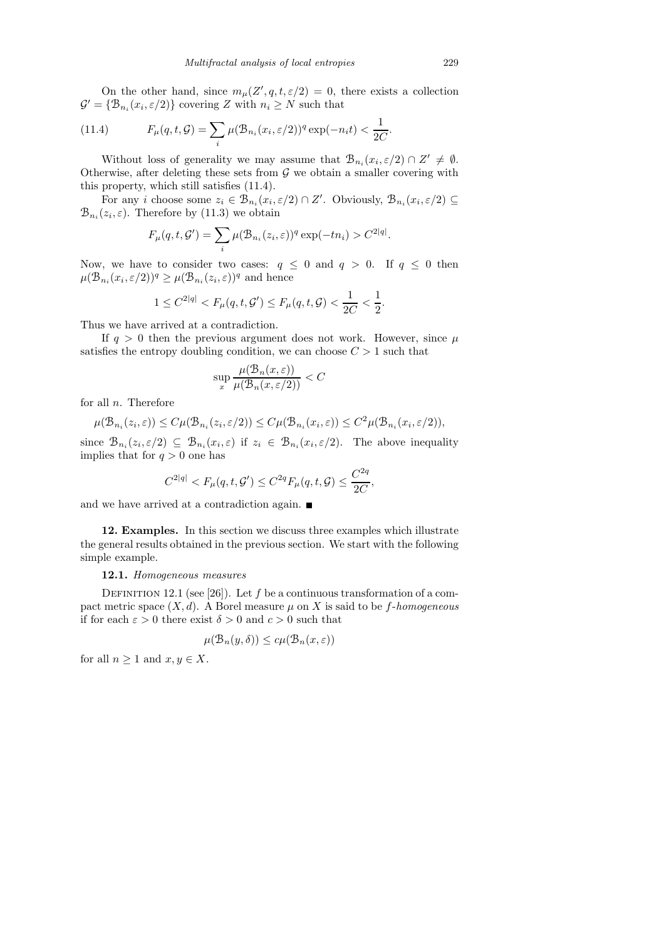On the other hand, since  $m_{\mu}(Z', q, t, \varepsilon/2) = 0$ , there exists a collection  $\mathcal{G}' = \{ \mathcal{B}_{n_i}(x_i, \varepsilon/2) \}$  covering Z with  $n_i \geq N$  such that

(11.4) 
$$
F_{\mu}(q, t, \mathcal{G}) = \sum_{i} \mu(\mathcal{B}_{n_i}(x_i, \varepsilon/2))^q \exp(-n_i t) < \frac{1}{2C}.
$$

Without loss of generality we may assume that  $\mathcal{B}_{n_i}(x_i, \varepsilon/2) \cap Z' \neq \emptyset$ . Otherwise, after deleting these sets from  $G$  we obtain a smaller covering with this property, which still satisfies (11.4).

For any i choose some  $z_i \in \hat{\mathcal{B}}_{n_i}(x_i, \varepsilon/2) \cap Z'$ . Obviously,  $\mathcal{B}_{n_i}(x_i, \varepsilon/2) \subseteq$  $\mathcal{B}_{n_i}(z_i, \varepsilon)$ . Therefore by (11.3) we obtain

$$
F_{\mu}(q, t, \mathcal{G}') = \sum_{i} \mu(\mathcal{B}_{n_i}(z_i, \varepsilon))^q \exp(-tn_i) > C^{2|q|}
$$

Now, we have to consider two cases:  $q \leq 0$  and  $q > 0$ . If  $q \leq 0$  then  $\mu(\mathcal{B}_{n_i}(x_i, \varepsilon/2))^q \geq \mu(\mathcal{B}_{n_i}(z_i, \varepsilon))^q$  and hence

$$
1 \le C^{2|q|} < F_{\mu}(q, t, \mathcal{G}') \le F_{\mu}(q, t, \mathcal{G}) < \frac{1}{2C} < \frac{1}{2}.
$$

Thus we have arrived at a contradiction.

If  $q > 0$  then the previous argument does not work. However, since  $\mu$ satisfies the entropy doubling condition, we can choose  $C > 1$  such that

$$
\sup_{x} \frac{\mu(\mathcal{B}_n(x,\varepsilon))}{\mu(\mathcal{B}_n(x,\varepsilon/2))} < C
$$

for all  $n$ . Therefore

$$
\mu(\mathcal{B}_{n_i}(z_i,\varepsilon)) \leq C\mu(\mathcal{B}_{n_i}(z_i,\varepsilon/2)) \leq C\mu(\mathcal{B}_{n_i}(x_i,\varepsilon)) \leq C^2\mu(\mathcal{B}_{n_i}(x_i,\varepsilon/2)),
$$

since  $\mathcal{B}_{n_i}(z_i,\varepsilon/2) \subseteq \mathcal{B}_{n_i}(x_i,\varepsilon)$  if  $z_i \in \mathcal{B}_{n_i}(x_i,\varepsilon/2)$ . The above inequality implies that for  $q > 0$  one has

$$
C^{2|q|} < F_{\mu}(q, t, \mathcal{G}') \leq C^{2q} F_{\mu}(q, t, \mathcal{G}) \leq \frac{C^{2q}}{2C},
$$

and we have arrived at a contradiction again.  $\blacksquare$ 

12. Examples. In this section we discuss three examples which illustrate the general results obtained in the previous section. We start with the following simple example.

## 12.1. Homogeneous measures

DEFINITION 12.1 (see [26]). Let f be a continuous transformation of a compact metric space  $(X, d)$ . A Borel measure  $\mu$  on X is said to be f-homogeneous if for each  $\varepsilon > 0$  there exist  $\delta > 0$  and  $c > 0$  such that

$$
\mu(\mathcal{B}_n(y,\delta)) \le c\mu(\mathcal{B}_n(x,\varepsilon))
$$

for all  $n \geq 1$  and  $x, y \in X$ .

.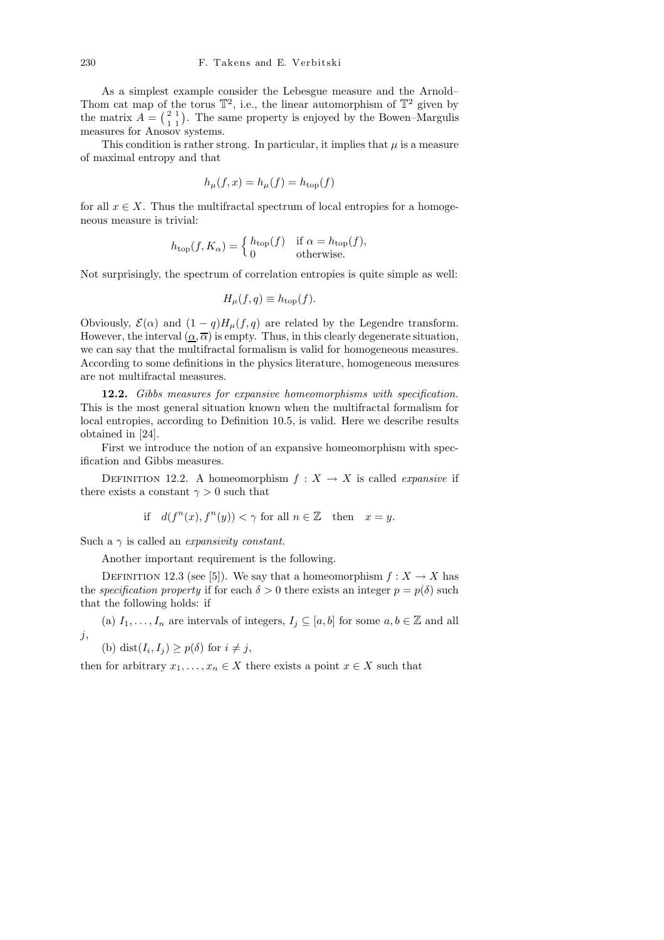As a simplest example consider the Lebesgue measure and the Arnold– Thom cat map of the torus  $\mathbb{T}^2$ , i.e., the linear automorphism of  $\mathbb{T}^2$  given by the matrix  $A = \begin{pmatrix} 2 & 1 \\ 1 & 1 \end{pmatrix}$ . The same property is enjoyed by the Bowen–Margulis measures for Anosov systems.

This condition is rather strong. In particular, it implies that  $\mu$  is a measure of maximal entropy and that

$$
h_{\mu}(f, x) = h_{\mu}(f) = h_{\text{top}}(f)
$$

for all  $x \in X$ . Thus the multifractal spectrum of local entropies for a homogeneous measure is trivial:

$$
h_{\text{top}}(f, K_{\alpha}) = \begin{cases} h_{\text{top}}(f) & \text{if } \alpha = h_{\text{top}}(f), \\ 0 & \text{otherwise.} \end{cases}
$$

Not surprisingly, the spectrum of correlation entropies is quite simple as well:

$$
H_{\mu}(f,q) \equiv h_{\text{top}}(f).
$$

Obviously,  $\mathcal{E}(\alpha)$  and  $(1-q)H_{\mu}(f,q)$  are related by the Legendre transform. However, the interval  $(\alpha, \overline{\alpha})$  is empty. Thus, in this clearly degenerate situation, we can say that the multifractal formalism is valid for homogeneous measures. According to some definitions in the physics literature, homogeneous measures are not multifractal measures.

12.2. Gibbs measures for expansive homeomorphisms with specification. This is the most general situation known when the multifractal formalism for local entropies, according to Definition 10.5, is valid. Here we describe results obtained in [24].

First we introduce the notion of an expansive homeomorphism with specification and Gibbs measures.

DEFINITION 12.2. A homeomorphism  $f : X \to X$  is called *expansive* if there exists a constant  $\gamma > 0$  such that

if  $d(f^{n}(x), f^{n}(y)) < \gamma$  for all  $n \in \mathbb{Z}$  then  $x = y$ .

Such a  $\gamma$  is called an *expansivity constant*.

Another important requirement is the following.

DEFINITION 12.3 (see [5]). We say that a homeomorphism  $f: X \to X$  has the *specification property* if for each  $\delta > 0$  there exists an integer  $p = p(\delta)$  such that the following holds: if

(a)  $I_1, \ldots, I_n$  are intervals of integers,  $I_j \subseteq [a, b]$  for some  $a, b \in \mathbb{Z}$  and all  $j,$ 

(b) dist( $I_i, I_j$ )  $\geq p(\delta)$  for  $i \neq j$ ,

then for arbitrary  $x_1, \ldots, x_n \in X$  there exists a point  $x \in X$  such that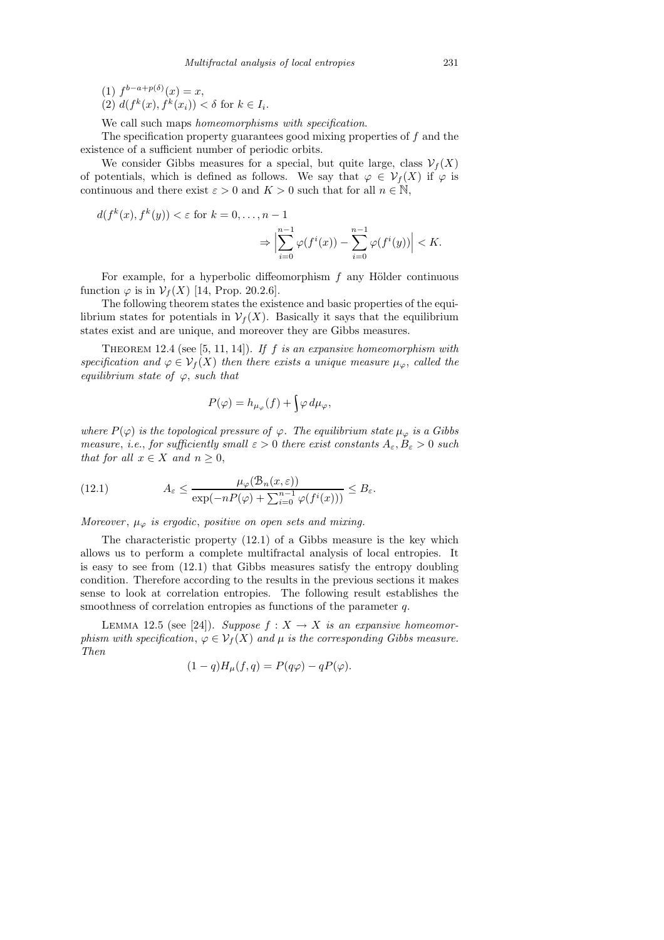- (1)  $f^{b-a+p(\delta)}(x) = x,$
- (2)  $d(f^k(x), f^k(x_i)) < \delta$  for  $k \in I_i$ .

We call such maps *homeomorphisms with specification*.

The specification property guarantees good mixing properties of  $f$  and the existence of a sufficient number of periodic orbits.

We consider Gibbs measures for a special, but quite large, class  $\mathcal{V}_f(X)$ of potentials, which is defined as follows. We say that  $\varphi \in \mathcal{V}_f(X)$  if  $\varphi$  is continuous and there exist  $\varepsilon > 0$  and  $K > 0$  such that for all  $n \in \mathbb{N}$ ,

$$
d(f^k(x), f^k(y)) < \varepsilon \text{ for } k = 0, \dots, n - 1
$$

$$
\Rightarrow \Big| \sum_{i=0}^{n-1} \varphi(f^i(x)) - \sum_{i=0}^{n-1} \varphi(f^i(y)) \Big| < K.
$$

For example, for a hyperbolic diffeomorphism  $f$  any Hölder continuous function  $\varphi$  is in  $\mathcal{V}_f(X)$  [14, Prop. 20.2.6].

The following theorem states the existence and basic properties of the equilibrium states for potentials in  $\mathcal{V}_f(X)$ . Basically it says that the equilibrium states exist and are unique, and moreover they are Gibbs measures.

THEOREM 12.4 (see [5, 11, 14]). If f is an expansive homeomorphism with specification and  $\varphi \in \mathcal{V}_f(X)$  then there exists a unique measure  $\mu_\varphi$ , called the equilibrium state of  $\varphi$ , such that

$$
P(\varphi) = h_{\mu_{\varphi}}(f) + \int \varphi \, d\mu_{\varphi},
$$

where  $P(\varphi)$  is the topological pressure of  $\varphi$ . The equilibrium state  $\mu_{\varphi}$  is a Gibbs measure, i.e., for sufficiently small  $\varepsilon > 0$  there exist constants  $A_{\varepsilon}, B_{\varepsilon} > 0$  such that for all  $x \in X$  and  $n \geq 0$ ,

(12.1) 
$$
A_{\varepsilon} \leq \frac{\mu_{\varphi}(\mathcal{B}_n(x,\varepsilon))}{\exp(-nP(\varphi) + \sum_{i=0}^{n-1} \varphi(f^i(x)))} \leq B_{\varepsilon}.
$$

Moreover,  $\mu_{\varphi}$  is ergodic, positive on open sets and mixing.

The characteristic property (12.1) of a Gibbs measure is the key which allows us to perform a complete multifractal analysis of local entropies. It is easy to see from (12.1) that Gibbs measures satisfy the entropy doubling condition. Therefore according to the results in the previous sections it makes sense to look at correlation entropies. The following result establishes the smoothness of correlation entropies as functions of the parameter q.

LEMMA 12.5 (see [24]). Suppose  $f: X \to X$  is an expansive homeomorphism with specification,  $\varphi \in \mathcal{V}_f(X)$  and  $\mu$  is the corresponding Gibbs measure. Then

$$
(1-q)H_{\mu}(f,q) = P(q\varphi) - qP(\varphi).
$$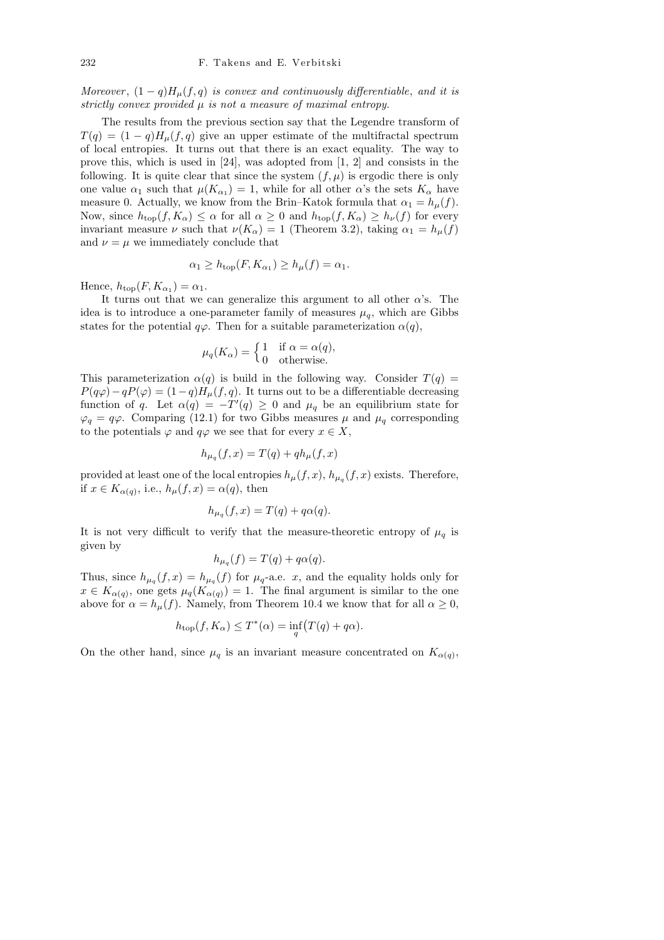Moreover,  $(1-q)H<sub>\mu</sub>(f,q)$  is convex and continuously differentiable, and it is strictly convex provided  $\mu$  is not a measure of maximal entropy.

The results from the previous section say that the Legendre transform of  $T(q) = (1 - q)H_u(f,q)$  give an upper estimate of the multifractal spectrum of local entropies. It turns out that there is an exact equality. The way to prove this, which is used in  $[24]$ , was adopted from  $[1, 2]$  and consists in the following. It is quite clear that since the system  $(f, \mu)$  is ergodic there is only one value  $\alpha_1$  such that  $\mu(K_{\alpha_1}) = 1$ , while for all other  $\alpha$ 's the sets  $K_{\alpha}$  have measure 0. Actually, we know from the Brin–Katok formula that  $\alpha_1 = h_u(f)$ . Now, since  $h_{\text{top}}(f, K_{\alpha}) \leq \alpha$  for all  $\alpha \geq 0$  and  $h_{\text{top}}(f, K_{\alpha}) \geq h_{\nu}(f)$  for every invariant measure  $\nu$  such that  $\nu(K_{\alpha}) = 1$  (Theorem 3.2), taking  $\alpha_1 = h_{\mu}(f)$ and  $\nu = \mu$  we immediately conclude that

$$
\alpha_1 \ge h_{\text{top}}(F, K_{\alpha_1}) \ge h_{\mu}(f) = \alpha_1.
$$

Hence,  $h_{\text{top}}(F, K_{\alpha_1}) = \alpha_1$ .

It turns out that we can generalize this argument to all other  $\alpha$ 's. The idea is to introduce a one-parameter family of measures  $\mu_q$ , which are Gibbs states for the potential  $q\varphi$ . Then for a suitable parameterization  $\alpha(q)$ ,

$$
\mu_q(K_{\alpha}) = \begin{cases} 1 & \text{if } \alpha = \alpha(q), \\ 0 & \text{otherwise.} \end{cases}
$$

This parameterization  $\alpha(q)$  is build in the following way. Consider  $T(q)$  =  $P(q\varphi) - qP(\varphi) = (1-q)H_{\mu}(f,q)$ . It turns out to be a differentiable decreasing function of q. Let  $\alpha(q) = -T'(q) \geq 0$  and  $\mu_q$  be an equilibrium state for  $\varphi_q = q\varphi$ . Comparing (12.1) for two Gibbs measures  $\mu$  and  $\mu_q$  corresponding to the potentials  $\varphi$  and  $q\varphi$  we see that for every  $x \in X$ ,

$$
h_{\mu_q}(f,x) = T(q) + q h_{\mu}(f,x)
$$

provided at least one of the local entropies  $h_{\mu}(f, x)$ ,  $h_{\mu_q}(f, x)$  exists. Therefore, if  $x \in K_{\alpha(q)}$ , i.e.,  $h_{\mu}(f, x) = \alpha(q)$ , then

$$
h_{\mu_q}(f, x) = T(q) + q\alpha(q).
$$

It is not very difficult to verify that the measure-theoretic entropy of  $\mu_q$  is given by

$$
h_{\mu_q}(f) = T(q) + q\alpha(q).
$$

Thus, since  $h_{\mu_q}(f,x) = h_{\mu_q}(f)$  for  $\mu_q$ -a.e. x, and the equality holds only for  $x \in K_{\alpha(q)}$ , one gets  $\mu_q(K_{\alpha(q)}) = 1$ . The final argument is similar to the one above for  $\alpha = h_{\mu}(f)$ . Namely, from Theorem 10.4 we know that for all  $\alpha \geq 0$ ,

$$
h_{\text{top}}(f, K_{\alpha}) \leq T^*(\alpha) = \inf_{q} (T(q) + q\alpha).
$$

On the other hand, since  $\mu_q$  is an invariant measure concentrated on  $K_{\alpha(q)}$ ,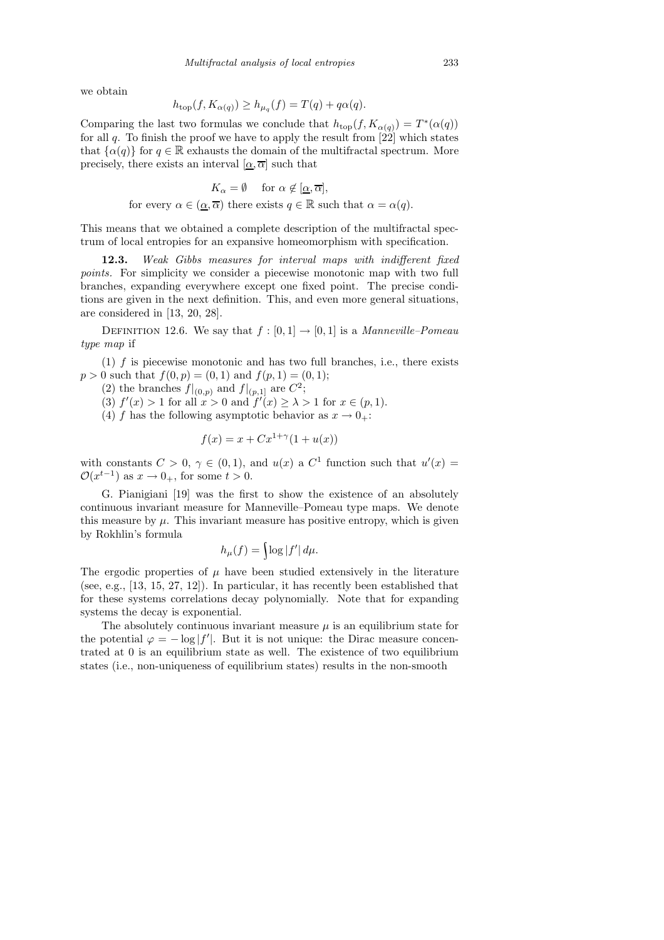we obtain

$$
h_{\text{top}}(f, K_{\alpha(q)}) \ge h_{\mu_q}(f) = T(q) + q\alpha(q).
$$

Comparing the last two formulas we conclude that  $h_{\text{top}}(f, K_{\alpha(q)}) = T^*(\alpha(q))$ for all  $q$ . To finish the proof we have to apply the result from  $[22]$  which states that  $\{\alpha(q)\}\$ for  $q \in \mathbb{R}$  exhausts the domain of the multifractal spectrum. More precisely, there exists an interval  $[\alpha, \overline{\alpha}]$  such that

$$
K_{\alpha} = \emptyset \quad \text{ for } \alpha \notin [\underline{\alpha}, \overline{\alpha}],
$$
  
for every  $\alpha \in (\underline{\alpha}, \overline{\alpha})$  there exists  $q \in \mathbb{R}$  such that  $\alpha = \alpha(q)$ .

This means that we obtained a complete description of the multifractal spectrum of local entropies for an expansive homeomorphism with specification.

12.3. Weak Gibbs measures for interval maps with indifferent fixed points. For simplicity we consider a piecewise monotonic map with two full branches, expanding everywhere except one fixed point. The precise conditions are given in the next definition. This, and even more general situations, are considered in [13, 20, 28].

DEFINITION 12.6. We say that  $f : [0, 1] \rightarrow [0, 1]$  is a *Manneville–Pomeau* type map if

 $(1)$  f is piecewise monotonic and has two full branches, i.e., there exists  $p > 0$  such that  $f(0, p) = (0, 1)$  and  $f(p, 1) = (0, 1);$ 

(2) the branches  $f|_{(0,p)}$  and  $f|_{(p,1]}$  are  $C^2$ ;

(3)  $f'(x) > 1$  for all  $x > 0$  and  $f'(x) \geq \lambda > 1$  for  $x \in (p, 1)$ .

(4) f has the following asymptotic behavior as  $x \to 0_{+}$ :

$$
f(x) = x + Cx^{1+\gamma}(1 + u(x))
$$

with constants  $C > 0$ ,  $\gamma \in (0,1)$ , and  $u(x)$  a  $C^1$  function such that  $u'(x) =$  $\mathcal{O}(x^{t-1})$  as  $x \to 0_+$ , for some  $t > 0$ .

G. Pianigiani [19] was the first to show the existence of an absolutely continuous invariant measure for Manneville–Pomeau type maps. We denote this measure by  $\mu$ . This invariant measure has positive entropy, which is given by Rokhlin's formula

$$
h_{\mu}(f) = \log |f'| d\mu.
$$

The ergodic properties of  $\mu$  have been studied extensively in the literature (see, e.g., [13, 15, 27, 12]). In particular, it has recently been established that for these systems correlations decay polynomially. Note that for expanding systems the decay is exponential.

The absolutely continuous invariant measure  $\mu$  is an equilibrium state for the potential  $\varphi = -\log|f'|$ . But it is not unique: the Dirac measure concentrated at 0 is an equilibrium state as well. The existence of two equilibrium states (i.e., non-uniqueness of equilibrium states) results in the non-smooth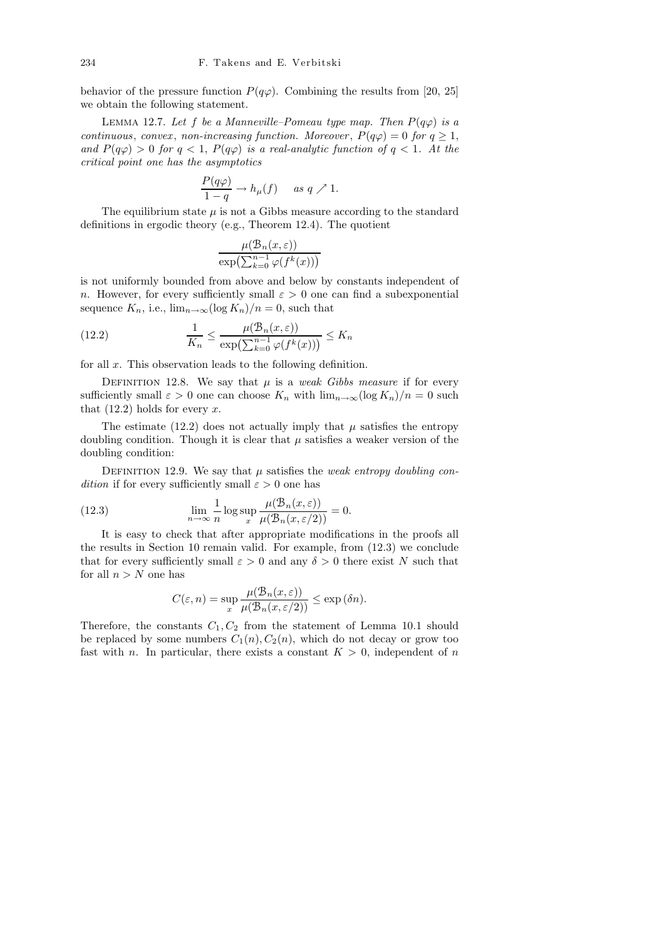behavior of the pressure function  $P(q\varphi)$ . Combining the results from [20, 25] we obtain the following statement.

LEMMA 12.7. Let f be a Manneville–Pomeau type map. Then  $P(q\varphi)$  is a continuous, convex, non-increasing function. Moreover,  $P(q\varphi) = 0$  for  $q \ge 1$ , and  $P(q\varphi) > 0$  for  $q < 1$ ,  $P(q\varphi)$  is a real-analytic function of  $q < 1$ . At the critical point one has the asymptotics

$$
\frac{P(q\varphi)}{1-q} \to h_{\mu}(f) \quad \text{as } q \nearrow 1.
$$

The equilibrium state  $\mu$  is not a Gibbs measure according to the standard definitions in ergodic theory (e.g., Theorem 12.4). The quotient

$$
\frac{\mu(\mathcal{B}_n(x,\varepsilon))}{\exp\left(\sum_{k=0}^{n-1}\varphi(f^k(x))\right)}
$$

is not uniformly bounded from above and below by constants independent of n. However, for every sufficiently small  $\varepsilon > 0$  one can find a subexponential sequence  $K_n$ , i.e.,  $\lim_{n\to\infty} (\log K_n)/n = 0$ , such that

(12.2) 
$$
\frac{1}{K_n} \leq \frac{\mu(\mathcal{B}_n(x,\varepsilon))}{\exp\left(\sum_{k=0}^{n-1} \varphi(f^k(x))\right)} \leq K_n
$$

for all x. This observation leads to the following definition.

DEFINITION 12.8. We say that  $\mu$  is a *weak Gibbs measure* if for every sufficiently small  $\varepsilon > 0$  one can choose  $K_n$  with  $\lim_{n\to\infty} (\log K_n)/n = 0$  such that  $(12.2)$  holds for every x.

The estimate (12.2) does not actually imply that  $\mu$  satisfies the entropy doubling condition. Though it is clear that  $\mu$  satisfies a weaker version of the doubling condition:

DEFINITION 12.9. We say that  $\mu$  satisfies the *weak entropy doubling con*dition if for every sufficiently small  $\varepsilon > 0$  one has

(12.3) 
$$
\lim_{n \to \infty} \frac{1}{n} \log \sup_{x} \frac{\mu(\mathcal{B}_n(x, \varepsilon))}{\mu(\mathcal{B}_n(x, \varepsilon/2))} = 0.
$$

It is easy to check that after appropriate modifications in the proofs all the results in Section 10 remain valid. For example, from (12.3) we conclude that for every sufficiently small  $\varepsilon > 0$  and any  $\delta > 0$  there exist N such that for all  $n > N$  one has

$$
C(\varepsilon, n) = \sup_{x} \frac{\mu(\mathcal{B}_n(x, \varepsilon))}{\mu(\mathcal{B}_n(x, \varepsilon/2))} \le \exp (\delta n).
$$

Therefore, the constants  $C_1, C_2$  from the statement of Lemma 10.1 should be replaced by some numbers  $C_1(n)$ ,  $C_2(n)$ , which do not decay or grow too fast with n. In particular, there exists a constant  $K > 0$ , independent of n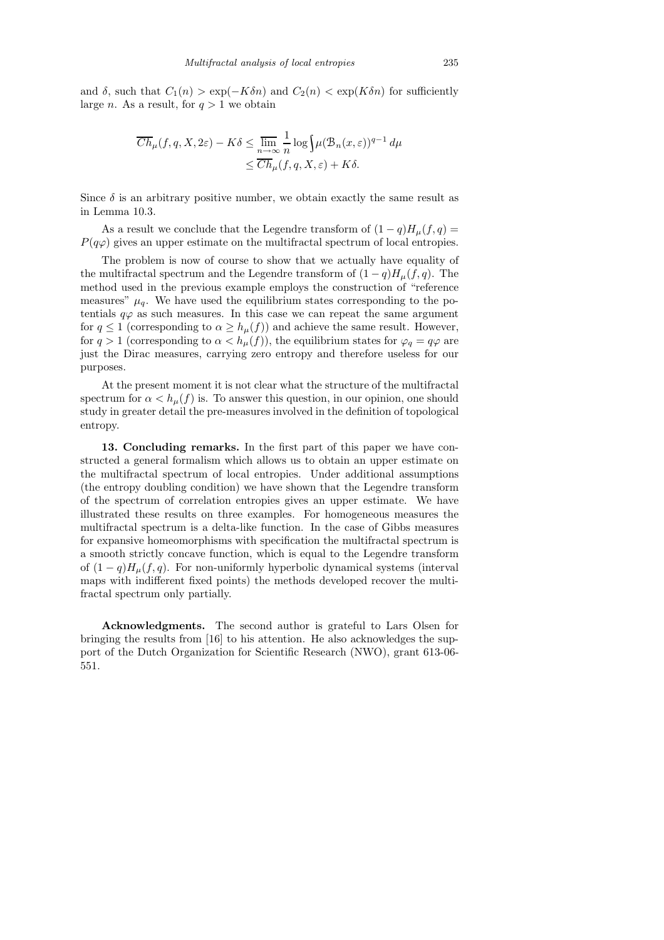and  $\delta$ , such that  $C_1(n) > \exp(-K\delta n)$  and  $C_2(n) < \exp(K\delta n)$  for sufficiently large *n*. As a result, for  $q > 1$  we obtain

$$
\overline{Ch}_{\mu}(f,q,X,2\varepsilon) - K\delta \le \lim_{n \to \infty} \frac{1}{n} \log \int \mu(\mathcal{B}_n(x,\varepsilon))^{q-1} d\mu
$$
  

$$
\le \overline{Ch}_{\mu}(f,q,X,\varepsilon) + K\delta.
$$

Since  $\delta$  is an arbitrary positive number, we obtain exactly the same result as in Lemma 10.3.

As a result we conclude that the Legendre transform of  $(1-q)H<sub>\mu</sub>(f, q)$  $P(q\varphi)$  gives an upper estimate on the multifractal spectrum of local entropies.

The problem is now of course to show that we actually have equality of the multifractal spectrum and the Legendre transform of  $(1-q)H_{\mu}(f,q)$ . The method used in the previous example employs the construction of "reference measures"  $\mu_q$ . We have used the equilibrium states corresponding to the potentials  $q\varphi$  as such measures. In this case we can repeat the same argument for  $q \leq 1$  (corresponding to  $\alpha \geq h_{\mu}(f)$ ) and achieve the same result. However, for  $q > 1$  (corresponding to  $\alpha < h_{\mu}(f)$ ), the equilibrium states for  $\varphi_q = q\varphi$  are just the Dirac measures, carrying zero entropy and therefore useless for our purposes.

At the present moment it is not clear what the structure of the multifractal spectrum for  $\alpha < h_{\mu}(f)$  is. To answer this question, in our opinion, one should study in greater detail the pre-measures involved in the definition of topological entropy.

13. Concluding remarks. In the first part of this paper we have constructed a general formalism which allows us to obtain an upper estimate on the multifractal spectrum of local entropies. Under additional assumptions (the entropy doubling condition) we have shown that the Legendre transform of the spectrum of correlation entropies gives an upper estimate. We have illustrated these results on three examples. For homogeneous measures the multifractal spectrum is a delta-like function. In the case of Gibbs measures for expansive homeomorphisms with specification the multifractal spectrum is a smooth strictly concave function, which is equal to the Legendre transform of  $(1-q)H_u(f,q)$ . For non-uniformly hyperbolic dynamical systems (interval maps with indifferent fixed points) the methods developed recover the multifractal spectrum only partially.

Acknowledgments. The second author is grateful to Lars Olsen for bringing the results from [16] to his attention. He also acknowledges the support of the Dutch Organization for Scientific Research (NWO), grant 613-06- 551.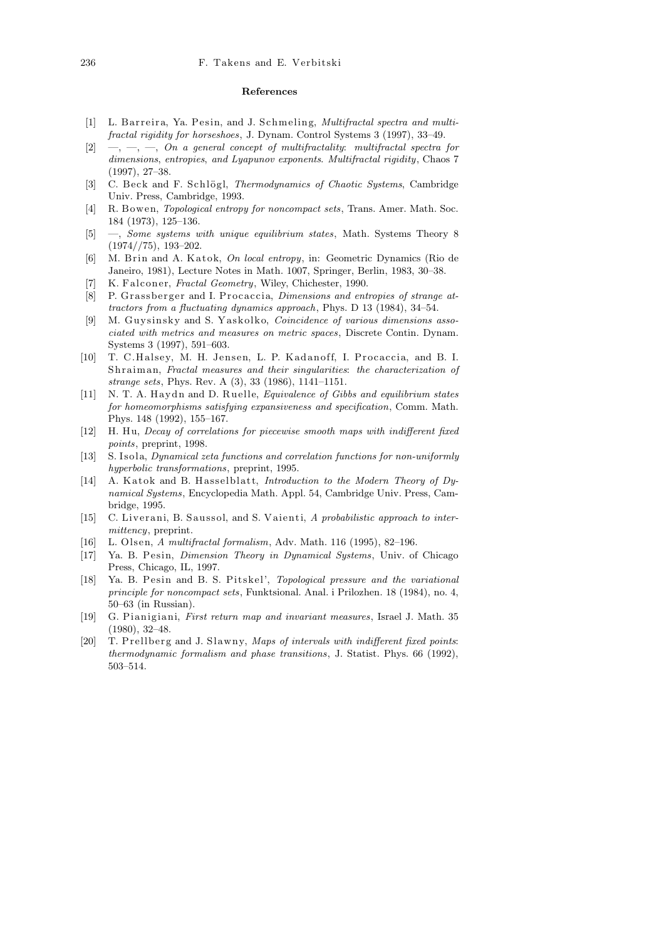## **References**

- [1] L. Barreira, Ya. Pesin, and J. Schmeling, *Multifractal spectra and multifractal rigidity for horseshoes*, J. Dynam. Control Systems 3 (1997), 33–49.
- [2] —, —, —, *On a general concept of multifractality*: *multifractal spectra for dimensions*, *entropies*, *and Lyapunov exponents*. *Multifractal rigidity*, Chaos 7 (1997), 27–38.
- [3] C. Beck and F. Schlögl, *Thermodynamics of Chaotic Systems*, Cambridge Univ. Press, Cambridge, 1993.
- [4] R. Bowen, *Topological entropy for noncompact sets*, Trans. Amer. Math. Soc. 184 (1973), 125–136.
- [5] —, *Some systems with unique equilibrium states*, Math. Systems Theory 8  $(1974//75), 193–202.$
- [6] M. Brin and A. Katok, *On local entropy*, in: Geometric Dynamics (Rio de Janeiro, 1981), Lecture Notes in Math. 1007, Springer, Berlin, 1983, 30–38.
- [7] K. Falconer, *Fractal Geometry*, Wiley, Chichester, 1990.
- [8] P. Grassberger and I. Procaccia, *Dimensions and entropies of strange attractors from a fluctuating dynamics approach*, Phys. D 13 (1984), 34–54.
- [9] M. Guysinsky and S. Yaskolko, *Coincidence of various dimensions associated with metrics and measures on metric spaces*, Discrete Contin. Dynam. Systems 3 (1997), 591–603.
- [10] T. C.Halsey, M. H. Jensen, L. P. Kadanoff, I. Procaccia, and B. I. Sh r aim an, *Fractal measures and their singularities*: *the characterization of strange sets*, Phys. Rev. A (3), 33 (1986), 1141–1151.
- [11] N. T. A. H aydn and D. Ruelle, *Equivalence of Gibbs and equilibrium states for homeomorphisms satisfying expansiveness and specification*, Comm. Math. Phys. 148 (1992), 155–167.
- [12] H. Hu, *Decay of correlations for piecewise smooth maps with indifferent fixed points*, preprint, 1998.
- [13] S. Isola, *Dynamical zeta functions and correlation functions for non-uniformly hyperbolic transformations*, preprint, 1995.
- [14] A. Katok and B. Hasselblatt, *Introduction to the Modern Theory of Dynamical Systems*, Encyclopedia Math. Appl. 54, Cambridge Univ. Press, Cambridge, 1995.
- [15] C. Liverani, B. Saussol, and S. Vaienti, A probabilistic approach to inter*mittency*, preprint.
- [16] L. Ol sen, *A multifractal formalism*, Adv. Math. 116 (1995), 82–196.
- [17] Ya. B. Pesin, *Dimension Theory in Dynamical Systems*, Univ. of Chicago Press, Chicago, IL, 1997.
- [18] Ya. B. Pesin and B. S. Pitskel', *Topological pressure and the variational principle for noncompact sets*, Funktsional. Anal. i Prilozhen. 18 (1984), no. 4, 50–63 (in Russian).
- [19] G. Pianigiani, *First return map and invariant measures*, Israel J. Math. 35 (1980), 32–48.
- [20] T. Prellberg and J. Slawny, *Maps of intervals with indifferent fixed points*: *thermodynamic formalism and phase transitions*, J. Statist. Phys. 66 (1992), 503–514.